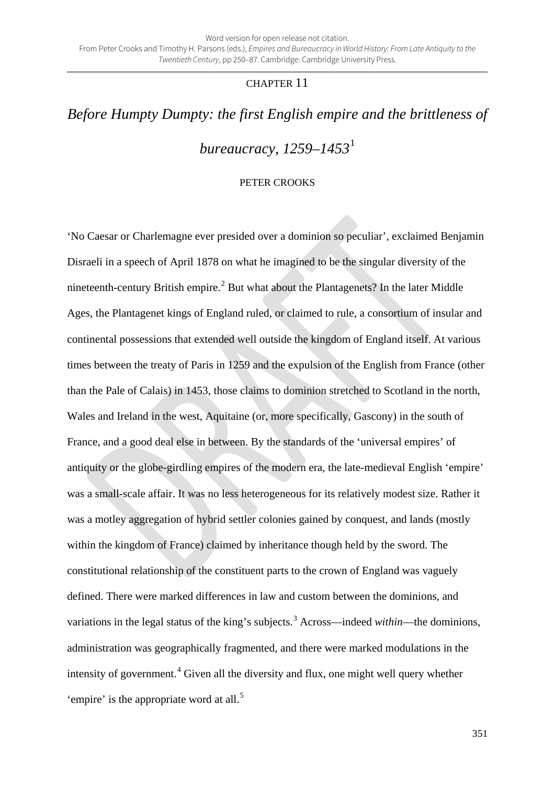# CHAPTER 11

# *Before Humpty Dumpty: the first English empire and the brittleness of bureaucracy, 1259–1453*[1](#page-31-0)

### PETER CROOKS

'No Caesar or Charlemagne ever presided over a dominion so peculiar', exclaimed Benjamin Disraeli in a speech of April 1878 on what he imagined to be the singular diversity of the nineteenth-century British empire.<sup>[2](#page-31-1)</sup> But what about the Plantagenets? In the later Middle Ages, the Plantagenet kings of England ruled, or claimed to rule, a consortium of insular and continental possessions that extended well outside the kingdom of England itself. At various times between the treaty of Paris in 1259 and the expulsion of the English from France (other than the Pale of Calais) in 1453, those claims to dominion stretched to Scotland in the north, Wales and Ireland in the west, Aquitaine (or, more specifically, Gascony) in the south of France, and a good deal else in between. By the standards of the 'universal empires' of antiquity or the globe-girdling empires of the modern era, the late-medieval English 'empire' was a small-scale affair. It was no less heterogeneous for its relatively modest size. Rather it was a motley aggregation of hybrid settler colonies gained by conquest, and lands (mostly within the kingdom of France) claimed by inheritance though held by the sword. The constitutional relationship of the constituent parts to the crown of England was vaguely defined. There were marked differences in law and custom between the dominions, and variations in the legal status of the king's subjects. [3](#page-31-2) Across—indeed *within*—the dominions, administration was geographically fragmented, and there were marked modulations in the intensity of government. $4$  Given all the diversity and flux, one might well query whether 'empire' is the appropriate word at all.<sup>[5](#page-31-4)</sup>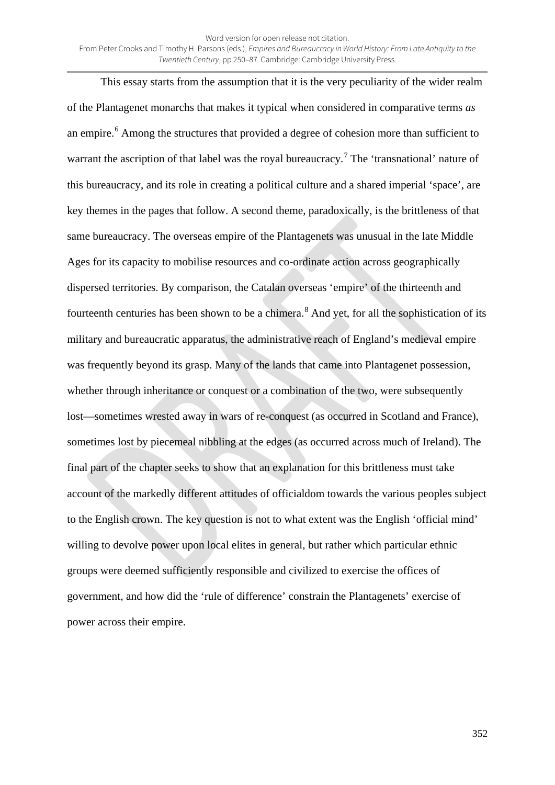This essay starts from the assumption that it is the very peculiarity of the wider realm of the Plantagenet monarchs that makes it typical when considered in comparative terms *as*  an empire.<sup>[6](#page-32-0)</sup> Among the structures that provided a degree of cohesion more than sufficient to warrant the ascription of that label was the royal bureaucracy.<sup>[7](#page-32-1)</sup> The 'transnational' nature of this bureaucracy, and its role in creating a political culture and a shared imperial 'space', are key themes in the pages that follow. A second theme, paradoxically, is the brittleness of that same bureaucracy. The overseas empire of the Plantagenets was unusual in the late Middle Ages for its capacity to mobilise resources and co-ordinate action across geographically dispersed territories. By comparison, the Catalan overseas 'empire' of the thirteenth and fourteenth centuries has been shown to be a chimera.<sup>[8](#page-32-2)</sup> And yet, for all the sophistication of its military and bureaucratic apparatus, the administrative reach of England's medieval empire was frequently beyond its grasp. Many of the lands that came into Plantagenet possession, whether through inheritance or conquest or a combination of the two, were subsequently lost—sometimes wrested away in wars of re-conquest (as occurred in Scotland and France), sometimes lost by piecemeal nibbling at the edges (as occurred across much of Ireland). The final part of the chapter seeks to show that an explanation for this brittleness must take account of the markedly different attitudes of officialdom towards the various peoples subject to the English crown. The key question is not to what extent was the English 'official mind' willing to devolve power upon local elites in general, but rather which particular ethnic groups were deemed sufficiently responsible and civilized to exercise the offices of government, and how did the 'rule of difference' constrain the Plantagenets' exercise of power across their empire.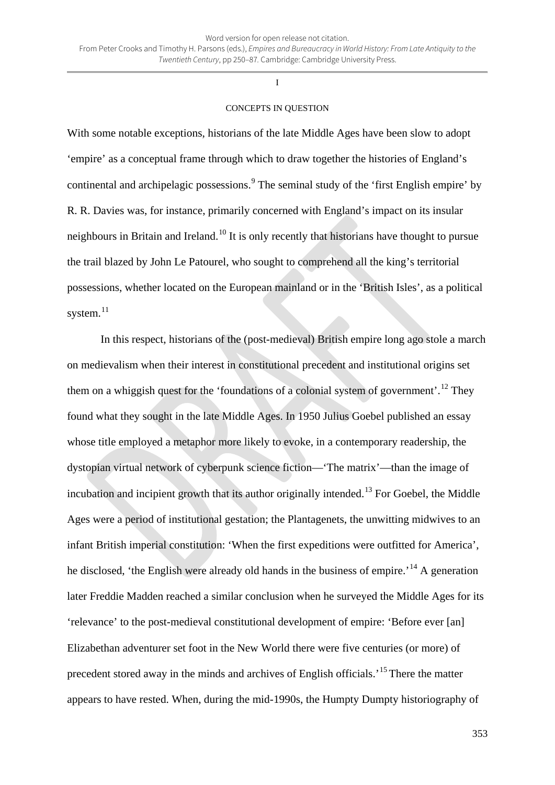#### I

#### CONCEPTS IN QUESTION

With some notable exceptions, historians of the late Middle Ages have been slow to adopt 'empire' as a conceptual frame through which to draw together the histories of England's continental and archipelagic possessions.<sup>[9](#page-33-0)</sup> The seminal study of the 'first English empire' by R. R. Davies was, for instance, primarily concerned with England's impact on its insular neighbours in Britain and Ireland.[10](#page-33-1) It is only recently that historians have thought to pursue the trail blazed by John Le Patourel, who sought to comprehend all the king's territorial possessions, whether located on the European mainland or in the 'British Isles', as a political system.<sup>[11](#page-33-2)</sup>

In this respect, historians of the (post-medieval) British empire long ago stole a march on medievalism when their interest in constitutional precedent and institutional origins set them on a whiggish quest for the 'foundations of a colonial system of government'.<sup>[12](#page-33-3)</sup> They found what they sought in the late Middle Ages. In 1950 Julius Goebel published an essay whose title employed a metaphor more likely to evoke, in a contemporary readership, the dystopian virtual network of cyberpunk science fiction—'The matrix'—than the image of incubation and incipient growth that its author originally intended.<sup>[13](#page-33-4)</sup> For Goebel, the Middle Ages were a period of institutional gestation; the Plantagenets, the unwitting midwives to an infant British imperial constitution: 'When the first expeditions were outfitted for America', he disclosed, 'the English were already old hands in the business of empire.'<sup>[14](#page-33-5)</sup> A generation later Freddie Madden reached a similar conclusion when he surveyed the Middle Ages for its 'relevance' to the post-medieval constitutional development of empire: 'Before ever [an] Elizabethan adventurer set foot in the New World there were five centuries (or more) of precedent stored away in the minds and archives of English officials.'[15](#page-33-0) There the matter appears to have rested. When, during the mid-1990s, the Humpty Dumpty historiography of

353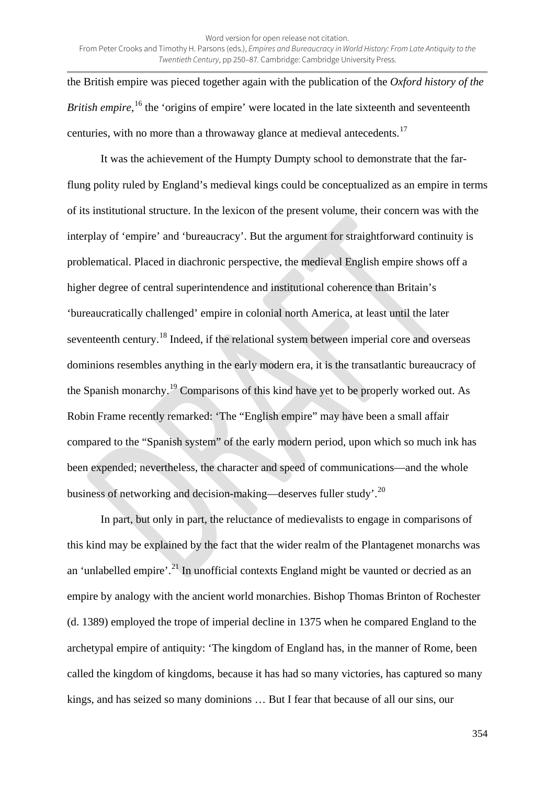the British empire was pieced together again with the publication of the *Oxford history of the British empire*, <sup>[16](#page-34-0)</sup> the 'origins of empire' were located in the late sixteenth and seventeenth centuries, with no more than a throwaway glance at medieval antecedents.<sup>[17](#page-34-1)</sup>

It was the achievement of the Humpty Dumpty school to demonstrate that the farflung polity ruled by England's medieval kings could be conceptualized as an empire in terms of its institutional structure. In the lexicon of the present volume, their concern was with the interplay of 'empire' and 'bureaucracy'. But the argument for straightforward continuity is problematical. Placed in diachronic perspective, the medieval English empire shows off a higher degree of central superintendence and institutional coherence than Britain's 'bureaucratically challenged' empire in colonial north America, at least until the later seventeenth century.<sup>[18](#page-34-2)</sup> Indeed, if the relational system between imperial core and overseas dominions resembles anything in the early modern era, it is the transatlantic bureaucracy of the Spanish monarchy.<sup>[19](#page-34-3)</sup> Comparisons of this kind have yet to be properly worked out. As Robin Frame recently remarked: 'The "English empire" may have been a small affair compared to the "Spanish system" of the early modern period, upon which so much ink has been expended; nevertheless, the character and speed of communications—and the whole business of networking and decision-making—deserves fuller study'.[20](#page-34-4)

In part, but only in part, the reluctance of medievalists to engage in comparisons of this kind may be explained by the fact that the wider realm of the Plantagenet monarchs was an 'unlabelled empire'.<sup>[21](#page-34-5)</sup> In unofficial contexts England might be vaunted or decried as an empire by analogy with the ancient world monarchies. Bishop Thomas Brinton of Rochester (d. 1389) employed the trope of imperial decline in 1375 when he compared England to the archetypal empire of antiquity: 'The kingdom of England has, in the manner of Rome, been called the kingdom of kingdoms, because it has had so many victories, has captured so many kings, and has seized so many dominions … But I fear that because of all our sins, our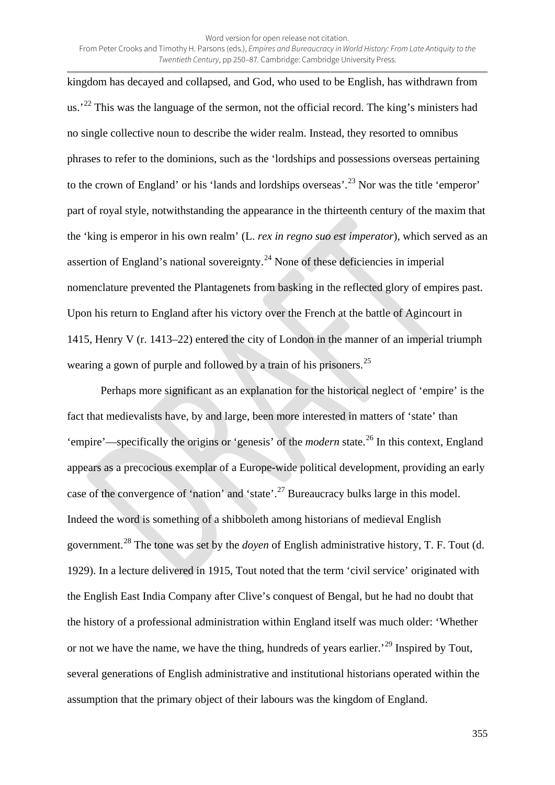kingdom has decayed and collapsed, and God, who used to be English, has withdrawn from us.<sup>[22](#page-35-0)</sup> This was the language of the sermon, not the official record. The king's ministers had no single collective noun to describe the wider realm. Instead, they resorted to omnibus phrases to refer to the dominions, such as the 'lordships and possessions overseas pertaining to the crown of England' or his 'lands and lordships overseas'.<sup>[23](#page-35-1)</sup> Nor was the title 'emperor' part of royal style, notwithstanding the appearance in the thirteenth century of the maxim that the 'king is emperor in his own realm' (L. *rex in regno suo est imperator*), which served as an assertion of England's national sovereignty.<sup>[24](#page-35-2)</sup> None of these deficiencies in imperial nomenclature prevented the Plantagenets from basking in the reflected glory of empires past. Upon his return to England after his victory over the French at the battle of Agincourt in 1415, Henry V (r. 1413–22) entered the city of London in the manner of an imperial triumph wearing a gown of purple and followed by a train of his prisoners.[25](#page-35-3)

Perhaps more significant as an explanation for the historical neglect of 'empire' is the fact that medievalists have, by and large, been more interested in matters of 'state' than 'empire'—specifically the origins or 'genesis' of the *modern* state.<sup>[26](#page-35-4)</sup> In this context, England appears as a precocious exemplar of a Europe-wide political development, providing an early case of the convergence of 'nation' and 'state'.[27](#page-35-5) Bureaucracy bulks large in this model. Indeed the word is something of a shibboleth among historians of medieval English government.[28](#page-35-6) The tone was set by the *doyen* of English administrative history, T. F. Tout (d. 1929). In a lecture delivered in 1915, Tout noted that the term 'civil service' originated with the English East India Company after Clive's conquest of Bengal, but he had no doubt that the history of a professional administration within England itself was much older: 'Whether or not we have the name, we have the thing, hundreds of years earlier.<sup>[29](#page-35-7)</sup> Inspired by Tout, several generations of English administrative and institutional historians operated within the assumption that the primary object of their labours was the kingdom of England.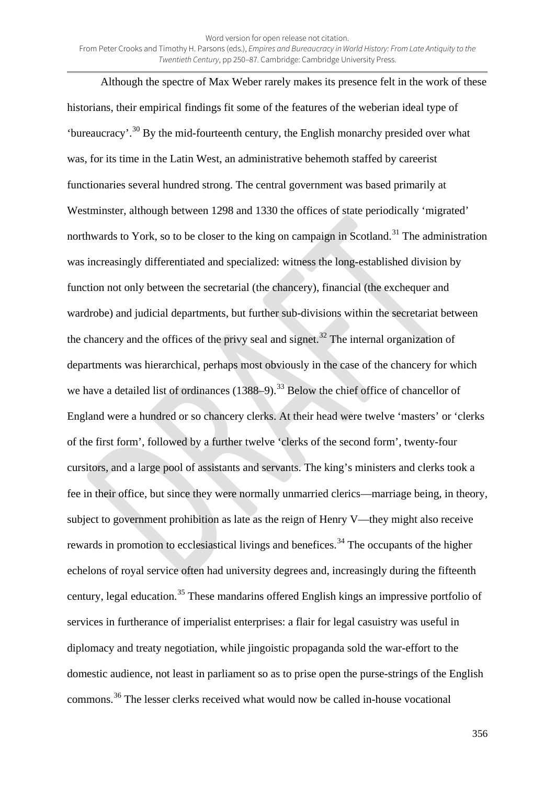Although the spectre of Max Weber rarely makes its presence felt in the work of these historians, their empirical findings fit some of the features of the weberian ideal type of 'bureaucracy'.[30](#page-36-0) By the mid-fourteenth century, the English monarchy presided over what was, for its time in the Latin West, an administrative behemoth staffed by careerist functionaries several hundred strong. The central government was based primarily at Westminster, although between 1298 and 1330 the offices of state periodically 'migrated' northwards to York, so to be closer to the king on campaign in Scotland.<sup>[31](#page-36-1)</sup> The administration was increasingly differentiated and specialized: witness the long-established division by function not only between the secretarial (the chancery), financial (the exchequer and wardrobe) and judicial departments, but further sub-divisions within the secretariat between the chancery and the offices of the privy seal and signet.<sup>[32](#page-36-2)</sup> The internal organization of departments was hierarchical, perhaps most obviously in the case of the chancery for which we have a detailed list of ordinances  $(1388-9)$ .<sup>[33](#page-36-3)</sup> Below the chief office of chancellor of England were a hundred or so chancery clerks. At their head were twelve 'masters' or 'clerks of the first form', followed by a further twelve 'clerks of the second form', twenty-four cursitors, and a large pool of assistants and servants. The king's ministers and clerks took a fee in their office, but since they were normally unmarried clerics—marriage being, in theory, subject to government prohibition as late as the reign of Henry V—they might also receive rewards in promotion to ecclesiastical livings and benefices.<sup>[34](#page-36-4)</sup> The occupants of the higher echelons of royal service often had university degrees and, increasingly during the fifteenth century, legal education.<sup>[35](#page-36-5)</sup> These mandarins offered English kings an impressive portfolio of services in furtherance of imperialist enterprises: a flair for legal casuistry was useful in diplomacy and treaty negotiation, while jingoistic propaganda sold the war-effort to the domestic audience, not least in parliament so as to prise open the purse-strings of the English commons.[36](#page-36-6) The lesser clerks received what would now be called in-house vocational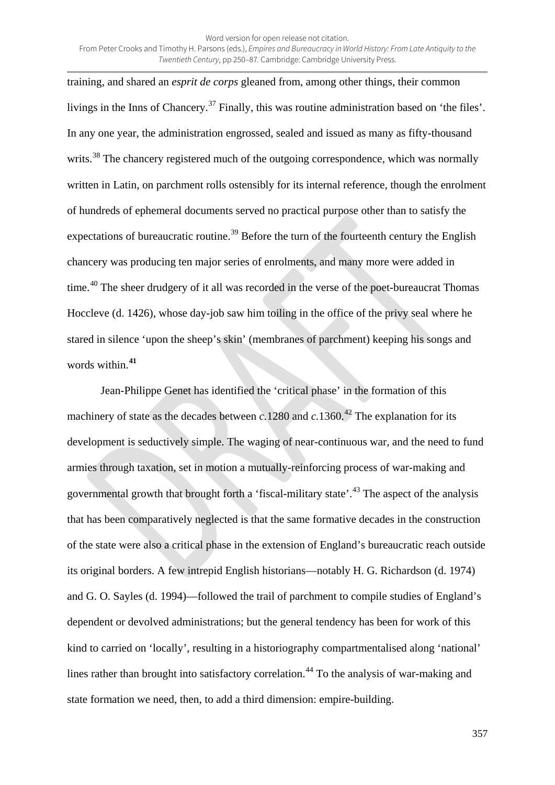training, and shared an *esprit de corps* gleaned from, among other things, their common livings in the Inns of Chancery.<sup>[37](#page-37-0)</sup> Finally, this was routine administration based on 'the files'. In any one year, the administration engrossed, sealed and issued as many as fifty-thousand writs.<sup>[38](#page-37-1)</sup> The chancery registered much of the outgoing correspondence, which was normally written in Latin, on parchment rolls ostensibly for its internal reference, though the enrolment of hundreds of ephemeral documents served no practical purpose other than to satisfy the expectations of bureaucratic routine.<sup>[39](#page-37-2)</sup> Before the turn of the fourteenth century the English chancery was producing ten major series of enrolments, and many more were added in time.<sup>[40](#page-37-3)</sup> The sheer drudgery of it all was recorded in the verse of the poet-bureaucrat Thomas Hoccleve (d. 1426), whose day-job saw him toiling in the office of the privy seal where he stared in silence 'upon the sheep's skin' (membranes of parchment) keeping his songs and words within.**[41](#page-37-4)**

Jean-Philippe Genet has identified the 'critical phase' in the formation of this machinery of state as the decades between  $c.1280$  and  $c.1360$ .<sup>[42](#page-37-5)</sup> The explanation for its development is seductively simple. The waging of near-continuous war, and the need to fund armies through taxation, set in motion a mutually-reinforcing process of war-making and governmental growth that brought forth a 'fiscal-military state'.<sup>[43](#page-37-6)</sup> The aspect of the analysis that has been comparatively neglected is that the same formative decades in the construction of the state were also a critical phase in the extension of England's bureaucratic reach outside its original borders. A few intrepid English historians—notably H. G. Richardson (d. 1974) and G. O. Sayles (d. 1994)—followed the trail of parchment to compile studies of England's dependent or devolved administrations; but the general tendency has been for work of this kind to carried on 'locally', resulting in a historiography compartmentalised along 'national' lines rather than brought into satisfactory correlation.<sup>[44](#page-37-7)</sup> To the analysis of war-making and state formation we need, then, to add a third dimension: empire-building.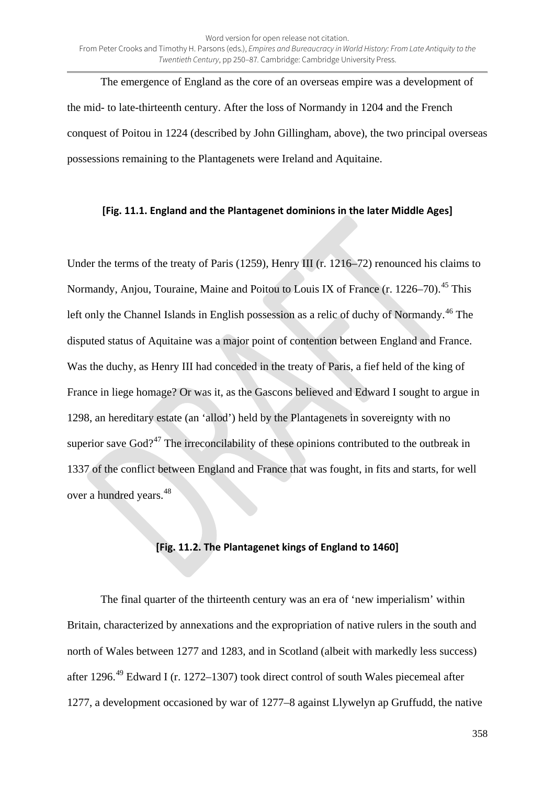The emergence of England as the core of an overseas empire was a development of the mid- to late-thirteenth century. After the loss of Normandy in 1204 and the French conquest of Poitou in 1224 (described by John Gillingham, above), the two principal overseas possessions remaining to the Plantagenets were Ireland and Aquitaine.

## **[Fig. 11.1. England and the Plantagenet dominions in the later Middle Ages]**

Under the terms of the treaty of Paris (1259), Henry III (r. 1216–72) renounced his claims to Normandy, Anjou, Touraine, Maine and Poitou to Louis IX of France  $(r. 1226-70).$ <sup>[45](#page-38-0)</sup> This left only the Channel Islands in English possession as a relic of duchy of Normandy.<sup>[46](#page-38-1)</sup> The disputed status of Aquitaine was a major point of contention between England and France. Was the duchy, as Henry III had conceded in the treaty of Paris, a fief held of the king of France in liege homage? Or was it, as the Gascons believed and Edward I sought to argue in 1298, an hereditary estate (an 'allod') held by the Plantagenets in sovereignty with no superior save  $\text{God}$ ?<sup>[47](#page-38-2)</sup> The irreconcilability of these opinions contributed to the outbreak in 1337 of the conflict between England and France that was fought, in fits and starts, for well over a hundred years.<sup>[48](#page-38-3)</sup>

## **[Fig. 11.2. The Plantagenet kings of England to 1460]**

The final quarter of the thirteenth century was an era of 'new imperialism' within Britain, characterized by annexations and the expropriation of native rulers in the south and north of Wales between 1277 and 1283, and in Scotland (albeit with markedly less success) after 1296.[49](#page-38-4) Edward I (r. 1272–1307) took direct control of south Wales piecemeal after 1277, a development occasioned by war of 1277–8 against Llywelyn ap Gruffudd, the native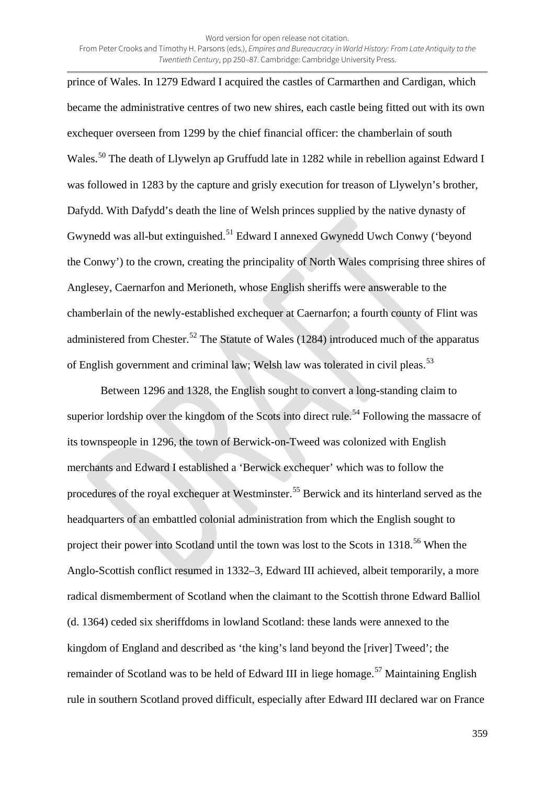prince of Wales. In 1279 Edward I acquired the castles of Carmarthen and Cardigan, which became the administrative centres of two new shires, each castle being fitted out with its own exchequer overseen from 1299 by the chief financial officer: the chamberlain of south Wales.<sup>[50](#page-39-0)</sup> The death of Llywelyn ap Gruffudd late in 1282 while in rebellion against Edward I was followed in 1283 by the capture and grisly execution for treason of Llywelyn's brother, Dafydd. With Dafydd's death the line of Welsh princes supplied by the native dynasty of Gwynedd was all-but extinguished.<sup>[51](#page-39-1)</sup> Edward I annexed Gwynedd Uwch Conwy ('beyond the Conwy') to the crown, creating the principality of North Wales comprising three shires of Anglesey, Caernarfon and Merioneth, whose English sheriffs were answerable to the chamberlain of the newly-established exchequer at Caernarfon; a fourth county of Flint was administered from Chester.<sup>[52](#page-39-2)</sup> The Statute of Wales (1284) introduced much of the apparatus of English government and criminal law; Welsh law was tolerated in civil pleas.<sup>[53](#page-39-3)</sup>

Between 1296 and 1328, the English sought to convert a long-standing claim to superior lordship over the kingdom of the Scots into direct rule.<sup>[54](#page-39-4)</sup> Following the massacre of its townspeople in 1296, the town of Berwick-on-Tweed was colonized with English merchants and Edward I established a 'Berwick exchequer' which was to follow the procedures of the royal exchequer at Westminster.<sup>[55](#page-39-5)</sup> Berwick and its hinterland served as the headquarters of an embattled colonial administration from which the English sought to project their power into Scotland until the town was lost to the Scots in 1318.<sup>[56](#page-39-6)</sup> When the Anglo-Scottish conflict resumed in 1332–3, Edward III achieved, albeit temporarily, a more radical dismemberment of Scotland when the claimant to the Scottish throne Edward Balliol (d. 1364) ceded six sheriffdoms in lowland Scotland: these lands were annexed to the kingdom of England and described as 'the king's land beyond the [river] Tweed'; the remainder of Scotland was to be held of Edward III in liege homage.<sup>[57](#page-39-7)</sup> Maintaining English rule in southern Scotland proved difficult, especially after Edward III declared war on France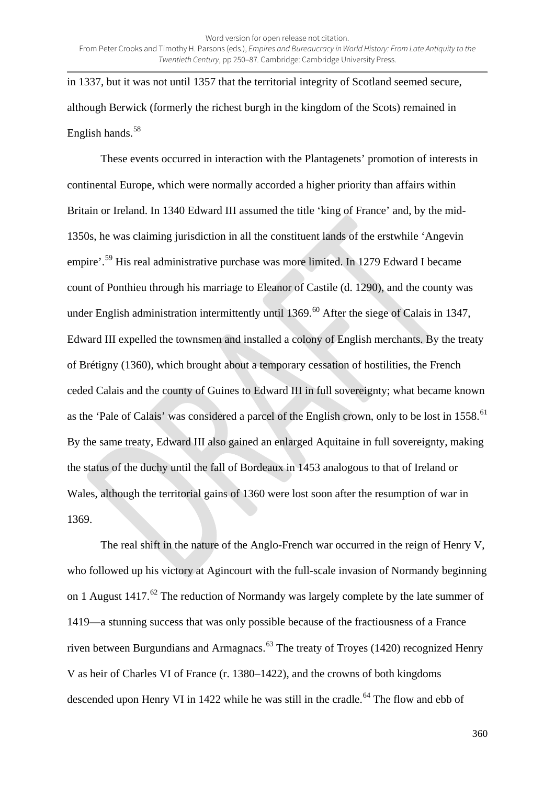in 1337, but it was not until 1357 that the territorial integrity of Scotland seemed secure, although Berwick (formerly the richest burgh in the kingdom of the Scots) remained in English hands. $58$ 

These events occurred in interaction with the Plantagenets' promotion of interests in continental Europe, which were normally accorded a higher priority than affairs within Britain or Ireland. In 1340 Edward III assumed the title 'king of France' and, by the mid-1350s, he was claiming jurisdiction in all the constituent lands of the erstwhile 'Angevin empire'.[59](#page-40-1) His real administrative purchase was more limited. In 1279 Edward I became count of Ponthieu through his marriage to Eleanor of Castile (d. 1290), and the county was under English administration intermittently until  $1369<sup>60</sup>$  $1369<sup>60</sup>$  $1369<sup>60</sup>$  After the siege of Calais in 1347, Edward III expelled the townsmen and installed a colony of English merchants. By the treaty of Brétigny (1360), which brought about a temporary cessation of hostilities, the French ceded Calais and the county of Guines to Edward III in full sovereignty; what became known as the 'Pale of Calais' was considered a parcel of the English crown, only to be lost in 1558.<sup>[61](#page-40-3)</sup> By the same treaty, Edward III also gained an enlarged Aquitaine in full sovereignty, making the status of the duchy until the fall of Bordeaux in 1453 analogous to that of Ireland or Wales, although the territorial gains of 1360 were lost soon after the resumption of war in 1369.

The real shift in the nature of the Anglo-French war occurred in the reign of Henry V, who followed up his victory at Agincourt with the full-scale invasion of Normandy beginning on 1 August 1417.<sup>[62](#page-40-4)</sup> The reduction of Normandy was largely complete by the late summer of 1419—a stunning success that was only possible because of the fractiousness of a France riven between Burgundians and Armagnacs.<sup>[63](#page-40-5)</sup> The treaty of Troyes (1420) recognized Henry V as heir of Charles VI of France (r. 1380–1422), and the crowns of both kingdoms descended upon Henry VI in 1422 while he was still in the cradle.<sup>[64](#page-40-6)</sup> The flow and ebb of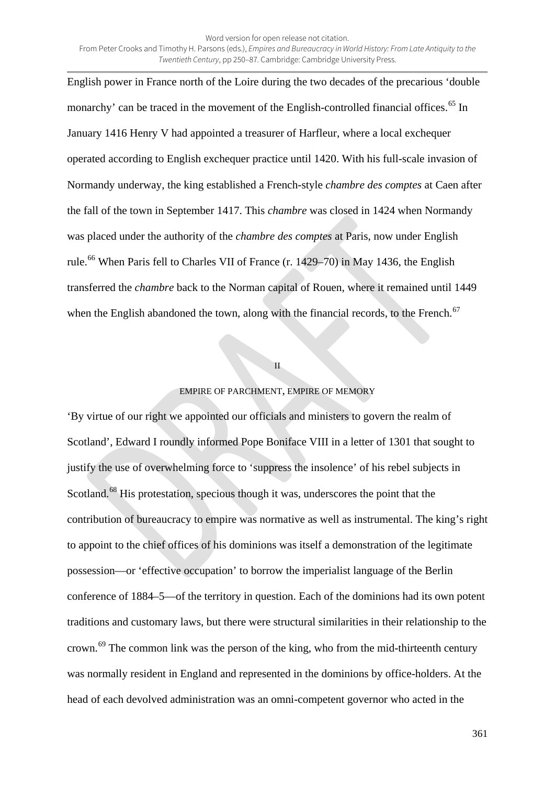English power in France north of the Loire during the two decades of the precarious 'double monarchy' can be traced in the movement of the English-controlled financial offices.<sup>[65](#page-41-0)</sup> In January 1416 Henry V had appointed a treasurer of Harfleur, where a local exchequer operated according to English exchequer practice until 1420. With his full-scale invasion of Normandy underway, the king established a French-style *chambre des comptes* at Caen after the fall of the town in September 1417. This *chambre* was closed in 1424 when Normandy was placed under the authority of the *chambre des comptes* at Paris, now under English rule.<sup>[66](#page-41-1)</sup> When Paris fell to Charles VII of France  $(r. 1429-70)$  in May 1436, the English transferred the *chambre* back to the Norman capital of Rouen, where it remained until 1449 when the English abandoned the town, along with the financial records, to the French.<sup>[67](#page-41-2)</sup>

#### II

#### EMPIRE OF PARCHMENT, EMPIRE OF MEMORY

'By virtue of our right we appointed our officials and ministers to govern the realm of Scotland', Edward I roundly informed Pope Boniface VIII in a letter of 1301 that sought to justify the use of overwhelming force to 'suppress the insolence' of his rebel subjects in Scotland.<sup>[68](#page-41-3)</sup> His protestation, specious though it was, underscores the point that the contribution of bureaucracy to empire was normative as well as instrumental. The king's right to appoint to the chief offices of his dominions was itself a demonstration of the legitimate possession—or 'effective occupation' to borrow the imperialist language of the Berlin conference of 1884–5—of the territory in question. Each of the dominions had its own potent traditions and customary laws, but there were structural similarities in their relationship to the crown.<sup>[69](#page-41-4)</sup> The common link was the person of the king, who from the mid-thirteenth century was normally resident in England and represented in the dominions by office-holders. At the head of each devolved administration was an omni-competent governor who acted in the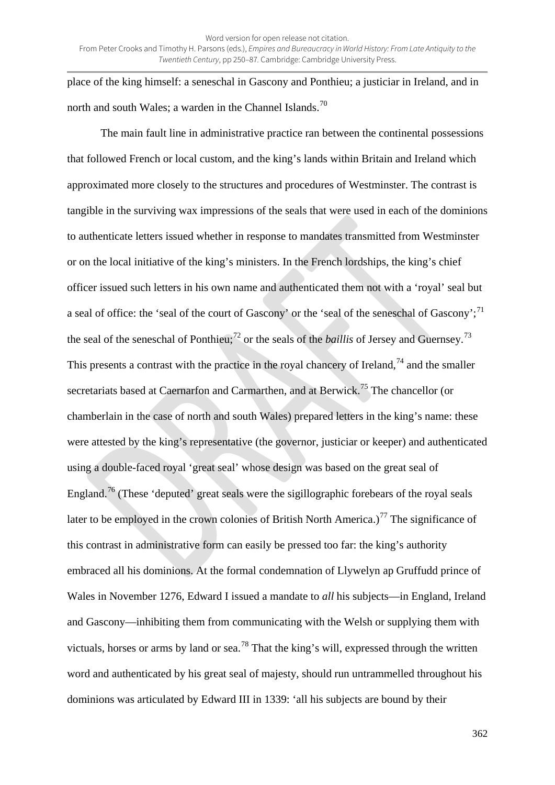place of the king himself: a seneschal in Gascony and Ponthieu; a justiciar in Ireland, and in north and south Wales; a warden in the Channel Islands.<sup>[70](#page-42-0)</sup>

The main fault line in administrative practice ran between the continental possessions that followed French or local custom, and the king's lands within Britain and Ireland which approximated more closely to the structures and procedures of Westminster. The contrast is tangible in the surviving wax impressions of the seals that were used in each of the dominions to authenticate letters issued whether in response to mandates transmitted from Westminster or on the local initiative of the king's ministers. In the French lordships, the king's chief officer issued such letters in his own name and authenticated them not with a 'royal' seal but a seal of office: the 'seal of the court of Gascony' or the 'seal of the seneschal of Gascony';<sup>[71](#page-42-1)</sup> the seal of the seneschal of Ponthieu;<sup>[72](#page-42-2)</sup> or the seals of the *baillis* of Jersey and Guernsey.<sup>[73](#page-42-3)</sup> This presents a contrast with the practice in the royal chancery of Ireland,  $^{74}$  $^{74}$  $^{74}$  and the smaller secretariats based at Caernarfon and Carmarthen, and at Berwick.<sup>[75](#page-42-5)</sup> The chancellor (or chamberlain in the case of north and south Wales) prepared letters in the king's name: these were attested by the king's representative (the governor, justiciar or keeper) and authenticated using a double-faced royal 'great seal' whose design was based on the great seal of England.<sup>[76](#page-42-6)</sup> (These 'deputed' great seals were the sigillographic forebears of the royal seals later to be employed in the crown colonies of British North America.)<sup>[77](#page-42-7)</sup> The significance of this contrast in administrative form can easily be pressed too far: the king's authority embraced all his dominions. At the formal condemnation of Llywelyn ap Gruffudd prince of Wales in November 1276, Edward I issued a mandate to *all* his subjects—in England, Ireland and Gascony—inhibiting them from communicating with the Welsh or supplying them with victuals, horses or arms by land or sea.<sup>[78](#page-42-8)</sup> That the king's will, expressed through the written word and authenticated by his great seal of majesty, should run untrammelled throughout his dominions was articulated by Edward III in 1339: 'all his subjects are bound by their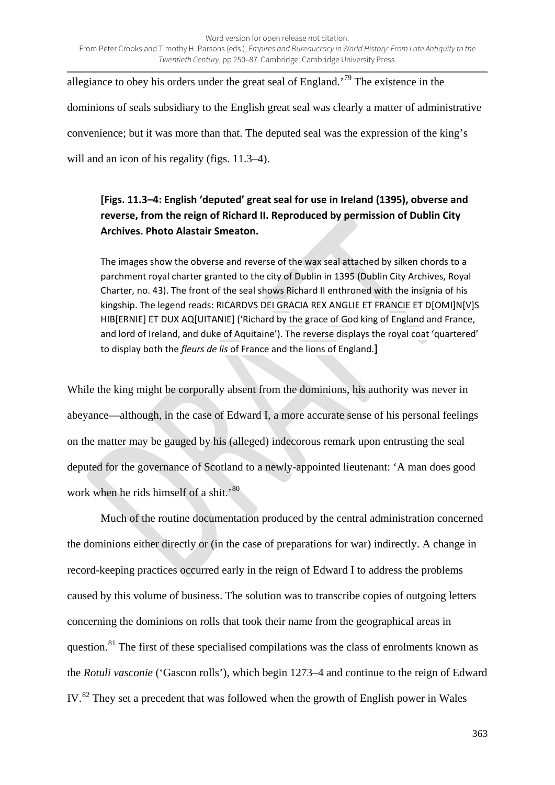allegiance to obey his orders under the great seal of England.<sup>[79](#page-43-0)</sup> The existence in the dominions of seals subsidiary to the English great seal was clearly a matter of administrative convenience; but it was more than that. The deputed seal was the expression of the king's will and an icon of his regality (figs. 11.3–4).

# **[Figs. 11.3–4: English 'deputed' great seal for use in Ireland (1395), obverse and reverse, from the reign of Richard II. Reproduced by permission of Dublin City Archives. Photo Alastair Smeaton.**

The images show the obverse and reverse of the wax seal attached by silken chords to a parchment royal charter granted to the city of Dublin in 1395 (Dublin City Archives, Royal Charter, no. 43). The front of the seal shows Richard II enthroned with the insignia of his kingship. The legend reads: RICARDVS DEI GRACIA REX ANGLIE ET FRANCIE ET D[OMI]N[V]S HIB[ERNIE] ET DUX AQ[UITANIE] ('Richard by the grace of God king of England and France, and lord of Ireland, and duke of Aquitaine'). The reverse displays the royal coat 'quartered' to display both the *fleurs de lis* of France and the lions of England.**]**

While the king might be corporally absent from the dominions, his authority was never in abeyance—although, in the case of Edward I, a more accurate sense of his personal feelings on the matter may be gauged by his (alleged) indecorous remark upon entrusting the seal deputed for the governance of Scotland to a newly-appointed lieutenant: 'A man does good work when he rids himself of a shit.'<sup>[80](#page-43-1)</sup>

Much of the routine documentation produced by the central administration concerned the dominions either directly or (in the case of preparations for war) indirectly. A change in record-keeping practices occurred early in the reign of Edward I to address the problems caused by this volume of business. The solution was to transcribe copies of outgoing letters concerning the dominions on rolls that took their name from the geographical areas in question.<sup>[81](#page-43-2)</sup> The first of these specialised compilations was the class of enrolments known as the *Rotuli vasconie* ('Gascon rolls'), which begin 1273–4 and continue to the reign of Edward IV.<sup>[82](#page-43-3)</sup> They set a precedent that was followed when the growth of English power in Wales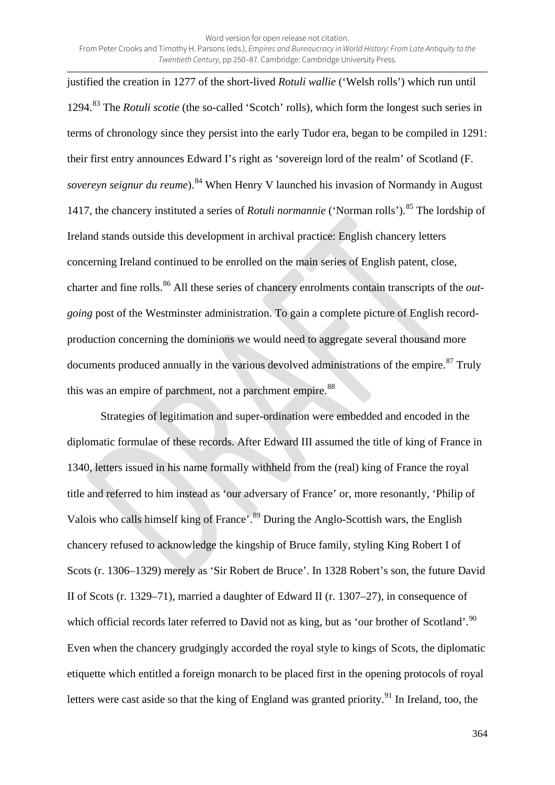justified the creation in 1277 of the short-lived *Rotuli wallie* ('Welsh rolls') which run until 1294.[83](#page-44-0) The *Rotuli scotie* (the so-called 'Scotch' rolls), which form the longest such series in terms of chronology since they persist into the early Tudor era, began to be compiled in 1291: their first entry announces Edward I's right as 'sovereign lord of the realm' of Scotland (F. *sovereyn seignur du reume*).<sup>[84](#page-44-1)</sup> When Henry V launched his invasion of Normandy in August 1417, the chancery instituted a series of *Rotuli normannie* ('Norman rolls'). [85](#page-44-2) The lordship of Ireland stands outside this development in archival practice: English chancery letters concerning Ireland continued to be enrolled on the main series of English patent, close, charter and fine rolls.<sup>[86](#page-44-3)</sup> All these series of chancery enrolments contain transcripts of the *outgoing* post of the Westminster administration. To gain a complete picture of English recordproduction concerning the dominions we would need to aggregate several thousand more documents produced annually in the various devolved administrations of the empire.<sup>[87](#page-44-4)</sup> Truly this was an empire of parchment, not a parchment empire.<sup>[88](#page-44-5)</sup>

Strategies of legitimation and super-ordination were embedded and encoded in the diplomatic formulae of these records. After Edward III assumed the title of king of France in 1340, letters issued in his name formally withheld from the (real) king of France the royal title and referred to him instead as 'our adversary of France' or, more resonantly, 'Philip of Valois who calls himself king of France'.<sup>[89](#page-44-6)</sup> During the Anglo-Scottish wars, the English chancery refused to acknowledge the kingship of Bruce family, styling King Robert I of Scots (r. 1306–1329) merely as 'Sir Robert de Bruce'. In 1328 Robert's son, the future David II of Scots (r. 1329–71), married a daughter of Edward II (r. 1307–27), in consequence of which official records later referred to David not as king, but as 'our brother of Scotland'.<sup>[90](#page-44-7)</sup> Even when the chancery grudgingly accorded the royal style to kings of Scots, the diplomatic etiquette which entitled a foreign monarch to be placed first in the opening protocols of royal letters were cast aside so that the king of England was granted priority.<sup>[91](#page-44-8)</sup> In Ireland, too, the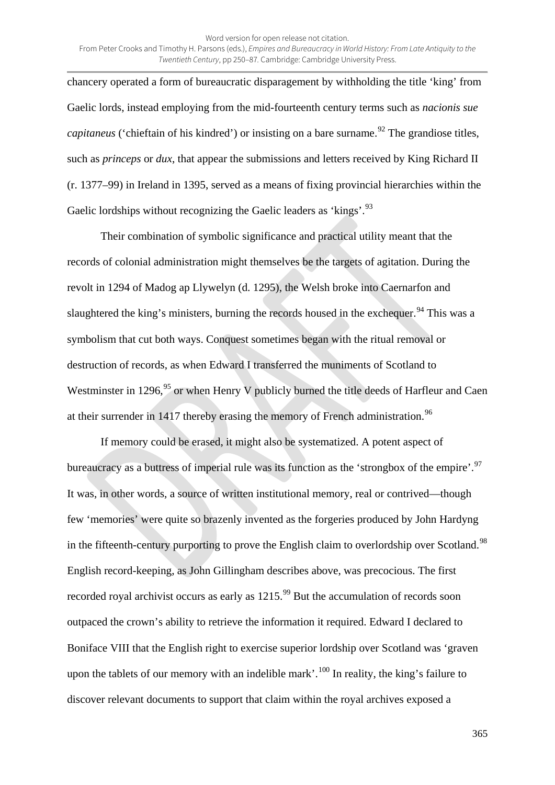chancery operated a form of bureaucratic disparagement by withholding the title 'king' from Gaelic lords, instead employing from the mid-fourteenth century terms such as *nacionis sue capitaneus* ('chieftain of his kindred') or insisting on a bare surname.<sup>[92](#page-45-0)</sup> The grandiose titles, such as *princeps* or *dux*, that appear the submissions and letters received by King Richard II (r. 1377–99) in Ireland in 1395, served as a means of fixing provincial hierarchies within the Gaelic lordships without recognizing the Gaelic leaders as 'kings'.<sup>[93](#page-45-1)</sup>

Their combination of symbolic significance and practical utility meant that the records of colonial administration might themselves be the targets of agitation. During the revolt in 1294 of Madog ap Llywelyn (d. 1295), the Welsh broke into Caernarfon and slaughtered the king's ministers, burning the records housed in the exchequer.<sup>[94](#page-45-2)</sup> This was a symbolism that cut both ways. Conquest sometimes began with the ritual removal or destruction of records, as when Edward I transferred the muniments of Scotland to Westminster in 1296,  $95$  or when Henry V publicly burned the title deeds of Harfleur and Caen at their surrender in 1417 thereby erasing the memory of French administration.<sup>[96](#page-45-4)</sup>

If memory could be erased, it might also be systematized. A potent aspect of bureaucracy as a buttress of imperial rule was its function as the 'strongbox of the empire'.<sup>[97](#page-45-5)</sup> It was, in other words, a source of written institutional memory, real or contrived—though few 'memories' were quite so brazenly invented as the forgeries produced by John Hardyng in the fifteenth-century purporting to prove the English claim to overlordship over Scotland.<sup>[98](#page-45-6)</sup> English record-keeping, as John Gillingham describes above, was precocious. The first recorded royal archivist occurs as early as  $1215<sup>99</sup>$  $1215<sup>99</sup>$  $1215<sup>99</sup>$  But the accumulation of records soon outpaced the crown's ability to retrieve the information it required. Edward I declared to Boniface VIII that the English right to exercise superior lordship over Scotland was 'graven upon the tablets of our memory with an indelible mark'.<sup>[100](#page-45-1)</sup> In reality, the king's failure to discover relevant documents to support that claim within the royal archives exposed a

365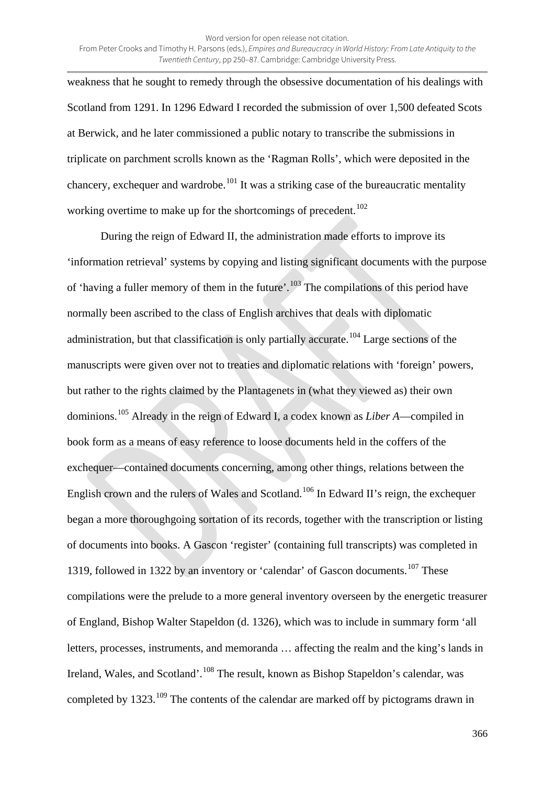weakness that he sought to remedy through the obsessive documentation of his dealings with Scotland from 1291. In 1296 Edward I recorded the submission of over 1,500 defeated Scots at Berwick, and he later commissioned a public notary to transcribe the submissions in triplicate on parchment scrolls known as the 'Ragman Rolls', which were deposited in the chancery, exchequer and wardrobe.<sup>[101](#page-46-0)</sup> It was a striking case of the bureaucratic mentality working overtime to make up for the shortcomings of precedent.<sup>[102](#page-46-1)</sup>

During the reign of Edward II, the administration made efforts to improve its 'information retrieval' systems by copying and listing significant documents with the purpose of 'having a fuller memory of them in the future'.<sup>[103](#page-46-2)</sup> The compilations of this period have normally been ascribed to the class of English archives that deals with diplomatic administration, but that classification is only partially accurate.<sup>[104](#page-46-3)</sup> Large sections of the manuscripts were given over not to treaties and diplomatic relations with 'foreign' powers, but rather to the rights claimed by the Plantagenets in (what they viewed as) their own dominions.[105](#page-46-4) Already in the reign of Edward I, a codex known as *Liber A*—compiled in book form as a means of easy reference to loose documents held in the coffers of the exchequer—contained documents concerning, among other things, relations between the English crown and the rulers of Wales and Scotland.<sup>[106](#page-46-5)</sup> In Edward II's reign, the exchequer began a more thoroughgoing sortation of its records, together with the transcription or listing of documents into books. A Gascon 'register' (containing full transcripts) was completed in 1319, followed in 1322 by an inventory or 'calendar' of Gascon documents.<sup>[107](#page-46-6)</sup> These compilations were the prelude to a more general inventory overseen by the energetic treasurer of England, Bishop Walter Stapeldon (d. 1326), which was to include in summary form 'all letters, processes, instruments, and memoranda … affecting the realm and the king's lands in Ireland, Wales, and Scotland'.<sup>[108](#page-46-7)</sup> The result, known as Bishop Stapeldon's calendar, was completed by 1323.<sup>[109](#page-46-8)</sup> The contents of the calendar are marked off by pictograms drawn in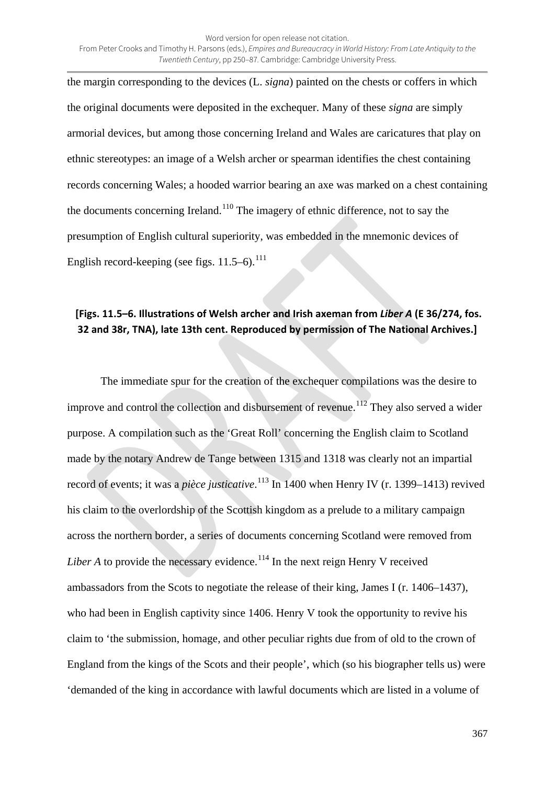the margin corresponding to the devices (L. *signa*) painted on the chests or coffers in which the original documents were deposited in the exchequer. Many of these *signa* are simply armorial devices, but among those concerning Ireland and Wales are caricatures that play on ethnic stereotypes: an image of a Welsh archer or spearman identifies the chest containing records concerning Wales; a hooded warrior bearing an axe was marked on a chest containing the documents concerning Ireland.<sup>[110](#page-47-0)</sup> The imagery of ethnic difference, not to say the presumption of English cultural superiority, was embedded in the mnemonic devices of English record-keeping (see figs. 11.5–6).<sup>[111](#page-47-1)</sup>

# **[Figs. 11.5–6. Illustrations of Welsh archer and Irish axeman from** *Liber A* **(E 36/274, fos. 32 and 38r, TNA), late 13th cent. Reproduced by permission of The National Archives.]**

The immediate spur for the creation of the exchequer compilations was the desire to improve and control the collection and disbursement of revenue.<sup>[112](#page-47-2)</sup> They also served a wider purpose. A compilation such as the 'Great Roll' concerning the English claim to Scotland made by the notary Andrew de Tange between 1315 and 1318 was clearly not an impartial record of events; it was a *pièce justicative*.<sup>[113](#page-47-3)</sup> In 1400 when Henry IV (r. 1399–1413) revived his claim to the overlordship of the Scottish kingdom as a prelude to a military campaign across the northern border, a series of documents concerning Scotland were removed from *Liber A* to provide the necessary evidence.<sup>[114](#page-47-4)</sup> In the next reign Henry V received ambassadors from the Scots to negotiate the release of their king, James I (r. 1406–1437), who had been in English captivity since 1406. Henry V took the opportunity to revive his claim to 'the submission, homage, and other peculiar rights due from of old to the crown of England from the kings of the Scots and their people', which (so his biographer tells us) were 'demanded of the king in accordance with lawful documents which are listed in a volume of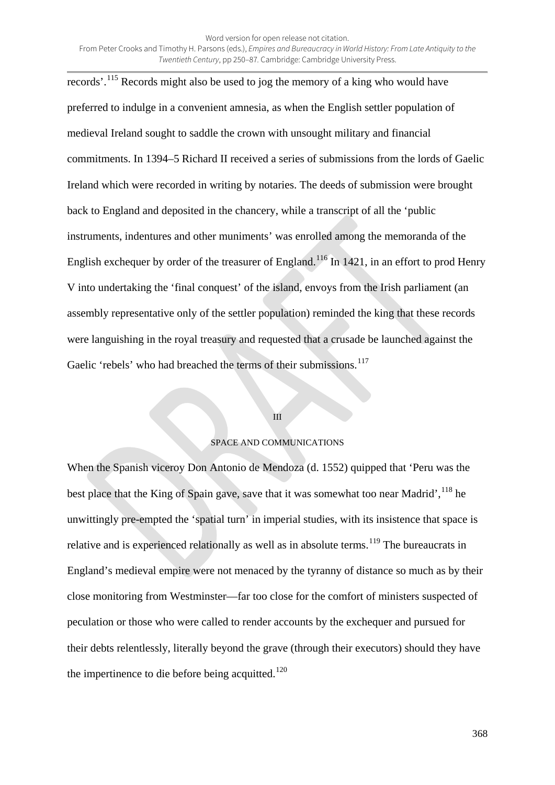records'.[115](#page-48-0) Records might also be used to jog the memory of a king who would have preferred to indulge in a convenient amnesia, as when the English settler population of medieval Ireland sought to saddle the crown with unsought military and financial commitments. In 1394–5 Richard II received a series of submissions from the lords of Gaelic Ireland which were recorded in writing by notaries. The deeds of submission were brought back to England and deposited in the chancery, while a transcript of all the 'public instruments, indentures and other muniments' was enrolled among the memoranda of the English exchequer by order of the treasurer of England.<sup>[116](#page-48-1)</sup> In 1421, in an effort to prod Henry V into undertaking the 'final conquest' of the island, envoys from the Irish parliament (an assembly representative only of the settler population) reminded the king that these records were languishing in the royal treasury and requested that a crusade be launched against the Gaelic 'rebels' who had breached the terms of their submissions.<sup>[117](#page-48-2)</sup>

#### III

#### SPACE AND COMMUNICATIONS

When the Spanish viceroy Don Antonio de Mendoza (d. 1552) quipped that 'Peru was the best place that the King of Spain gave, save that it was somewhat too near Madrid',  $^{118}$  $^{118}$  $^{118}$  he unwittingly pre-empted the 'spatial turn' in imperial studies, with its insistence that space is relative and is experienced relationally as well as in absolute terms.<sup>[119](#page-48-4)</sup> The bureaucrats in England's medieval empire were not menaced by the tyranny of distance so much as by their close monitoring from Westminster—far too close for the comfort of ministers suspected of peculation or those who were called to render accounts by the exchequer and pursued for their debts relentlessly, literally beyond the grave (through their executors) should they have the impertinence to die before being acquitted. $^{120}$  $^{120}$  $^{120}$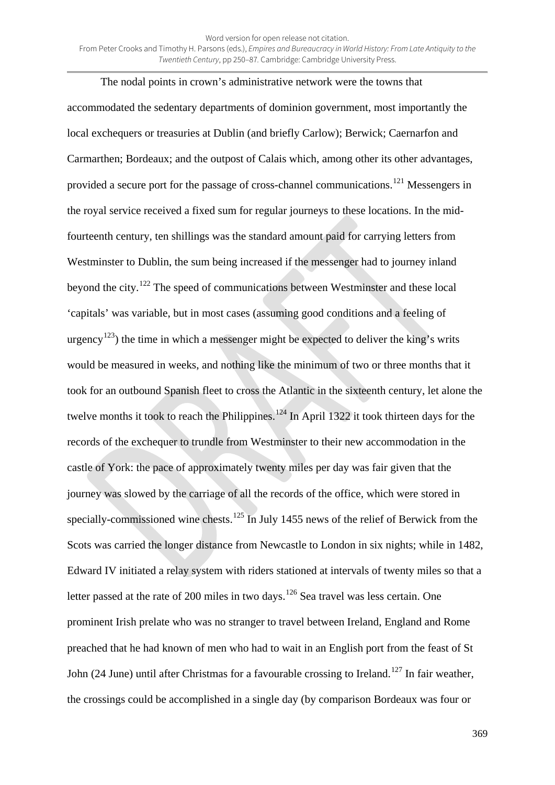The nodal points in crown's administrative network were the towns that accommodated the sedentary departments of dominion government, most importantly the local exchequers or treasuries at Dublin (and briefly Carlow); Berwick; Caernarfon and Carmarthen; Bordeaux; and the outpost of Calais which, among other its other advantages, provided a secure port for the passage of cross-channel communications.<sup>[121](#page-49-0)</sup> Messengers in the royal service received a fixed sum for regular journeys to these locations. In the midfourteenth century, ten shillings was the standard amount paid for carrying letters from Westminster to Dublin, the sum being increased if the messenger had to journey inland beyond the city.[122](#page-49-1) The speed of communications between Westminster and these local 'capitals' was variable, but in most cases (assuming good conditions and a feeling of urgency<sup>[123](#page-49-2)</sup>) the time in which a messenger might be expected to deliver the king's writs would be measured in weeks, and nothing like the minimum of two or three months that it took for an outbound Spanish fleet to cross the Atlantic in the sixteenth century, let alone the twelve months it took to reach the Philippines.<sup>[124](#page-49-3)</sup> In April 1322 it took thirteen days for the records of the exchequer to trundle from Westminster to their new accommodation in the castle of York: the pace of approximately twenty miles per day was fair given that the journey was slowed by the carriage of all the records of the office, which were stored in specially-commissioned wine chests.<sup>[125](#page-49-4)</sup> In July 1455 news of the relief of Berwick from the Scots was carried the longer distance from Newcastle to London in six nights; while in 1482, Edward IV initiated a relay system with riders stationed at intervals of twenty miles so that a letter passed at the rate of 200 miles in two days.<sup>[126](#page-49-5)</sup> Sea travel was less certain. One prominent Irish prelate who was no stranger to travel between Ireland, England and Rome preached that he had known of men who had to wait in an English port from the feast of St John (24 June) until after Christmas for a favourable crossing to Ireland.<sup>[127](#page-49-6)</sup> In fair weather, the crossings could be accomplished in a single day (by comparison Bordeaux was four or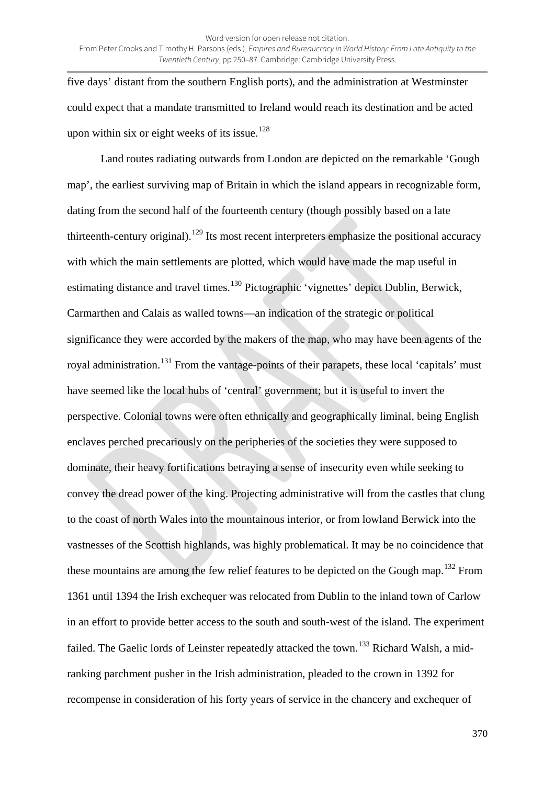five days' distant from the southern English ports), and the administration at Westminster could expect that a mandate transmitted to Ireland would reach its destination and be acted upon within six or eight weeks of its issue.<sup>[128](#page-50-0)</sup>

Land routes radiating outwards from London are depicted on the remarkable 'Gough map', the earliest surviving map of Britain in which the island appears in recognizable form, dating from the second half of the fourteenth century (though possibly based on a late thirteenth-century original).<sup>[129](#page-50-1)</sup> Its most recent interpreters emphasize the positional accuracy with which the main settlements are plotted, which would have made the map useful in estimating distance and travel times.<sup>[130](#page-50-2)</sup> Pictographic 'vignettes' depict Dublin, Berwick, Carmarthen and Calais as walled towns—an indication of the strategic or political significance they were accorded by the makers of the map, who may have been agents of the royal administration.<sup>[131](#page-50-3)</sup> From the vantage-points of their parapets, these local 'capitals' must have seemed like the local hubs of 'central' government; but it is useful to invert the perspective. Colonial towns were often ethnically and geographically liminal, being English enclaves perched precariously on the peripheries of the societies they were supposed to dominate, their heavy fortifications betraying a sense of insecurity even while seeking to convey the dread power of the king. Projecting administrative will from the castles that clung to the coast of north Wales into the mountainous interior, or from lowland Berwick into the vastnesses of the Scottish highlands, was highly problematical. It may be no coincidence that these mountains are among the few relief features to be depicted on the Gough map.<sup>[132](#page-50-4)</sup> From 1361 until 1394 the Irish exchequer was relocated from Dublin to the inland town of Carlow in an effort to provide better access to the south and south-west of the island. The experiment failed. The Gaelic lords of Leinster repeatedly attacked the town.<sup>[133](#page-50-5)</sup> Richard Walsh, a midranking parchment pusher in the Irish administration, pleaded to the crown in 1392 for recompense in consideration of his forty years of service in the chancery and exchequer of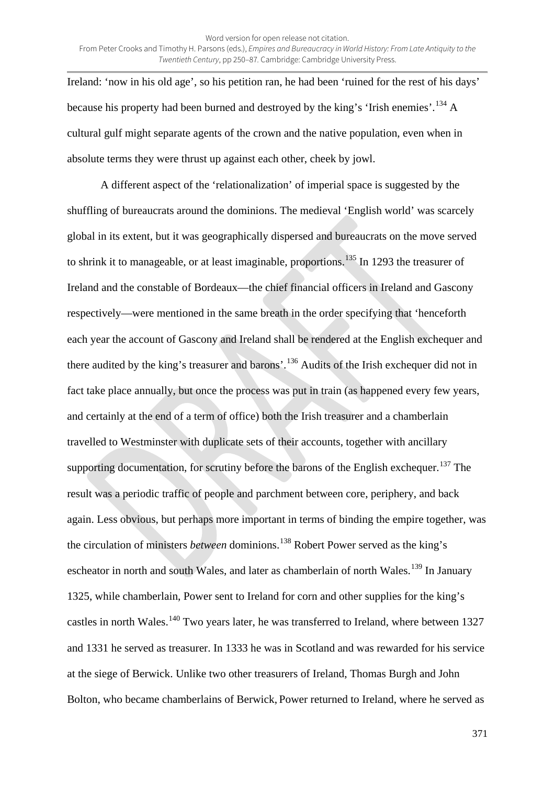Ireland: 'now in his old age', so his petition ran, he had been 'ruined for the rest of his days' because his property had been burned and destroyed by the king's 'Irish enemies'.<sup>[134](#page-51-0)</sup> A cultural gulf might separate agents of the crown and the native population, even when in absolute terms they were thrust up against each other, cheek by jowl.

A different aspect of the 'relationalization' of imperial space is suggested by the shuffling of bureaucrats around the dominions. The medieval 'English world' was scarcely global in its extent, but it was geographically dispersed and bureaucrats on the move served to shrink it to manageable, or at least imaginable, proportions.<sup>[135](#page-51-1)</sup> In 1293 the treasurer of Ireland and the constable of Bordeaux—the chief financial officers in Ireland and Gascony respectively—were mentioned in the same breath in the order specifying that 'henceforth each year the account of Gascony and Ireland shall be rendered at the English exchequer and there audited by the king's treasurer and barons'.[136](#page-51-2) Audits of the Irish exchequer did not in fact take place annually, but once the process was put in train (as happened every few years, and certainly at the end of a term of office) both the Irish treasurer and a chamberlain travelled to Westminster with duplicate sets of their accounts, together with ancillary supporting documentation, for scrutiny before the barons of the English exchequer.<sup>[137](#page-51-3)</sup> The result was a periodic traffic of people and parchment between core, periphery, and back again. Less obvious, but perhaps more important in terms of binding the empire together, was the circulation of ministers *between* dominions.<sup>[138](#page-51-4)</sup> Robert Power served as the king's escheator in north and south Wales, and later as chamberlain of north Wales.<sup>[139](#page-51-5)</sup> In January 1325, while chamberlain, Power sent to Ireland for corn and other supplies for the king's castles in north Wales.<sup>[140](#page-51-6)</sup> Two years later, he was transferred to Ireland, where between 1327 and 1331 he served as treasurer. In 1333 he was in Scotland and was rewarded for his service at the siege of Berwick. Unlike two other treasurers of Ireland, Thomas Burgh and John Bolton, who became chamberlains of Berwick, Power returned to Ireland, where he served as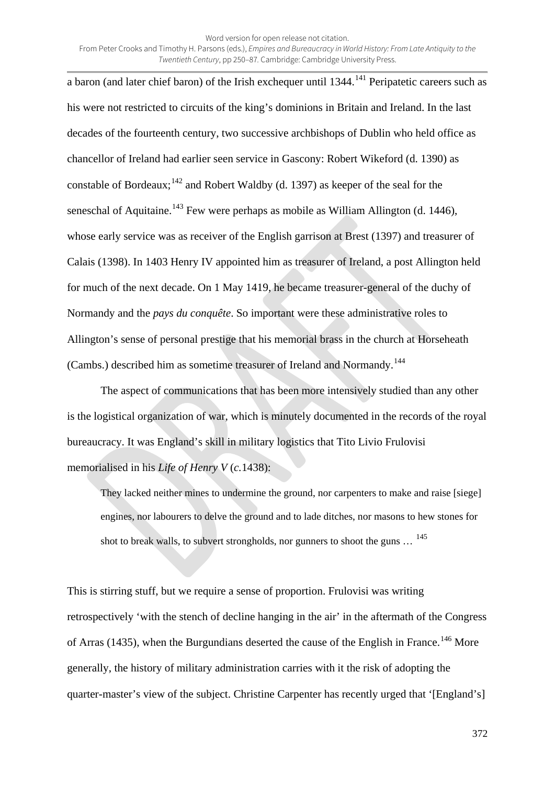a baron (and later chief baron) of the Irish exchequer until  $1344$ <sup> $141$ </sup> Peripatetic careers such as his were not restricted to circuits of the king's dominions in Britain and Ireland. In the last decades of the fourteenth century, two successive archbishops of Dublin who held office as chancellor of Ireland had earlier seen service in Gascony: Robert Wikeford (d. 1390) as constable of Bordeaux;<sup>[142](#page-52-1)</sup> and Robert Waldby (d. 1397) as keeper of the seal for the seneschal of Aquitaine.<sup>[143](#page-52-2)</sup> Few were perhaps as mobile as William Allington (d. 1446), whose early service was as receiver of the English garrison at Brest (1397) and treasurer of Calais (1398). In 1403 Henry IV appointed him as treasurer of Ireland, a post Allington held for much of the next decade. On 1 May 1419, he became treasurer-general of the duchy of Normandy and the *pays du conquête*. So important were these administrative roles to Allington's sense of personal prestige that his memorial brass in the church at Horseheath (Cambs.) described him as sometime treasurer of Ireland and Normandy.[144](#page-52-3)

The aspect of communications that has been more intensively studied than any other is the logistical organization of war, which is minutely documented in the records of the royal bureaucracy. It was England's skill in military logistics that Tito Livio Frulovisi memorialised in his *Life of Henry V* (*c.*1438):

They lacked neither mines to undermine the ground, nor carpenters to make and raise [siege] engines, nor labourers to delve the ground and to lade ditches, nor masons to hew stones for shot to break walls, to subvert strongholds, nor gunners to shoot the guns ... <sup>[145](#page-52-4)</sup>

This is stirring stuff, but we require a sense of proportion. Frulovisi was writing retrospectively 'with the stench of decline hanging in the air' in the aftermath of the Congress of Arras (1435), when the Burgundians deserted the cause of the English in France.<sup>[146](#page-52-5)</sup> More generally, the history of military administration carries with it the risk of adopting the quarter-master's view of the subject. Christine Carpenter has recently urged that '[England's]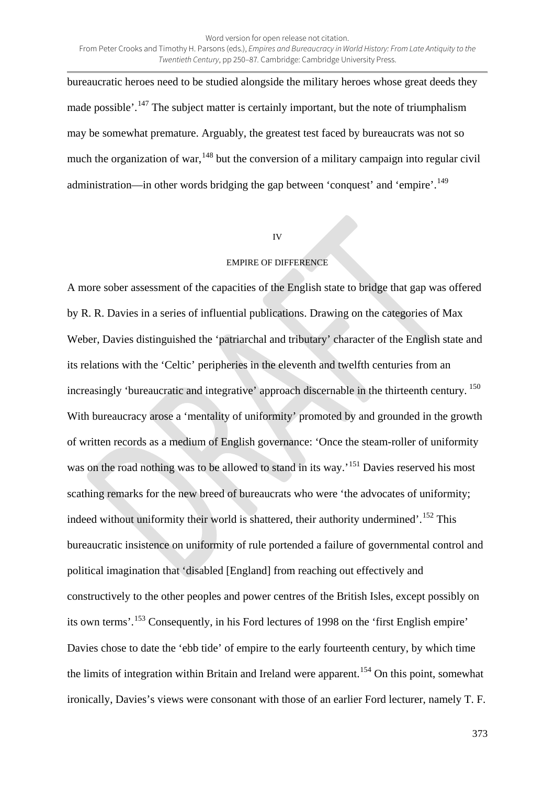bureaucratic heroes need to be studied alongside the military heroes whose great deeds they made possible'.<sup>[147](#page-53-0)</sup> The subject matter is certainly important, but the note of triumphalism may be somewhat premature. Arguably, the greatest test faced by bureaucrats was not so much the organization of war,  $148$  but the conversion of a military campaign into regular civil administration—in other words bridging the gap between 'conquest' and 'empire'.<sup>[149](#page-53-2)</sup>

#### IV

#### EMPIRE OF DIFFERENCE

A more sober assessment of the capacities of the English state to bridge that gap was offered by R. R. Davies in a series of influential publications. Drawing on the categories of Max Weber, Davies distinguished the 'patriarchal and tributary' character of the English state and its relations with the 'Celtic' peripheries in the eleventh and twelfth centuries from an increasingly 'bureaucratic and integrative' approach discernable in the thirteenth century. <sup>[150](#page-53-3)</sup> With bureaucracy arose a 'mentality of uniformity' promoted by and grounded in the growth of written records as a medium of English governance: 'Once the steam-roller of uniformity was on the road nothing was to be allowed to stand in its way.<sup>[151](#page-53-4)</sup> Davies reserved his most scathing remarks for the new breed of bureaucrats who were 'the advocates of uniformity; indeed without uniformity their world is shattered, their authority undermined'.<sup>[152](#page-53-5)</sup> This bureaucratic insistence on uniformity of rule portended a failure of governmental control and political imagination that 'disabled [England] from reaching out effectively and constructively to the other peoples and power centres of the British Isles, except possibly on its own terms'.[153](#page-53-6) Consequently, in his Ford lectures of 1998 on the 'first English empire' Davies chose to date the 'ebb tide' of empire to the early fourteenth century, by which time the limits of integration within Britain and Ireland were apparent.<sup>[154](#page-53-7)</sup> On this point, somewhat ironically, Davies's views were consonant with those of an earlier Ford lecturer, namely T. F.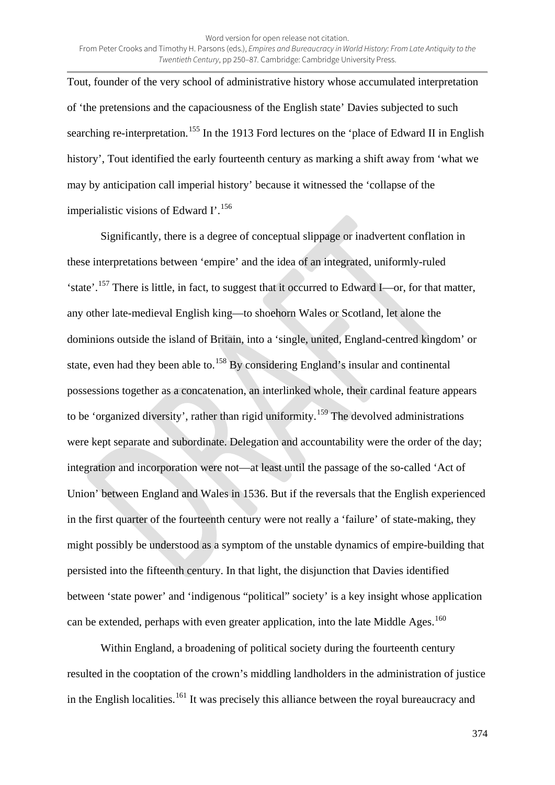Tout, founder of the very school of administrative history whose accumulated interpretation of 'the pretensions and the capaciousness of the English state' Davies subjected to such searching re-interpretation.<sup>[155](#page-54-0)</sup> In the 1913 Ford lectures on the 'place of Edward II in English history', Tout identified the early fourteenth century as marking a shift away from 'what we may by anticipation call imperial history' because it witnessed the 'collapse of the imperialistic visions of Edward I'.<sup>[156](#page-54-1)</sup>

Significantly, there is a degree of conceptual slippage or inadvertent conflation in these interpretations between 'empire' and the idea of an integrated, uniformly-ruled 'state'.[157](#page-54-2) There is little, in fact, to suggest that it occurred to Edward I—or, for that matter, any other late-medieval English king—to shoehorn Wales or Scotland, let alone the dominions outside the island of Britain, into a 'single, united, England-centred kingdom' or state, even had they been able to.<sup>[158](#page-54-3)</sup> By considering England's insular and continental possessions together as a concatenation, an interlinked whole, their cardinal feature appears to be 'organized diversity', rather than rigid uniformity.<sup>[159](#page-54-4)</sup> The devolved administrations were kept separate and subordinate. Delegation and accountability were the order of the day; integration and incorporation were not—at least until the passage of the so-called 'Act of Union' between England and Wales in 1536. But if the reversals that the English experienced in the first quarter of the fourteenth century were not really a 'failure' of state-making, they might possibly be understood as a symptom of the unstable dynamics of empire-building that persisted into the fifteenth century. In that light, the disjunction that Davies identified between 'state power' and 'indigenous "political" society' is a key insight whose application can be extended, perhaps with even greater application, into the late Middle Ages.<sup>[160](#page-54-5)</sup>

Within England, a broadening of political society during the fourteenth century resulted in the cooptation of the crown's middling landholders in the administration of justice in the English localities.<sup>[161](#page-54-6)</sup> It was precisely this alliance between the royal bureaucracy and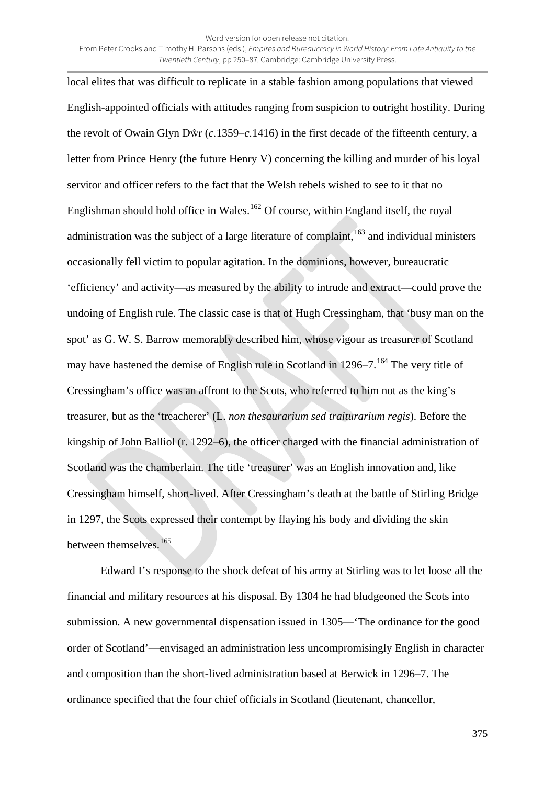local elites that was difficult to replicate in a stable fashion among populations that viewed English-appointed officials with attitudes ranging from suspicion to outright hostility. During the revolt of Owain Glyn Dŵr (*c.*1359–*c.*1416) in the first decade of the fifteenth century, a letter from Prince Henry (the future Henry V) concerning the killing and murder of his loyal servitor and officer refers to the fact that the Welsh rebels wished to see to it that no Englishman should hold office in Wales.<sup>[162](#page-54-7)</sup> Of course, within England itself, the royal administration was the subject of a large literature of complaint, $163$  and individual ministers occasionally fell victim to popular agitation. In the dominions, however, bureaucratic 'efficiency' and activity—as measured by the ability to intrude and extract—could prove the undoing of English rule. The classic case is that of Hugh Cressingham, that 'busy man on the spot' as G. W. S. Barrow memorably described him, whose vigour as treasurer of Scotland may have hastened the demise of English rule in Scotland in 1296–7.<sup>[164](#page-54-9)</sup> The very title of Cressingham's office was an affront to the Scots, who referred to him not as the king's treasurer, but as the 'treacherer' (L. *non thesaurarium sed traiturarium regis*). Before the kingship of John Balliol (r. 1292–6), the officer charged with the financial administration of Scotland was the chamberlain. The title 'treasurer' was an English innovation and, like Cressingham himself, short-lived. After Cressingham's death at the battle of Stirling Bridge in 1297, the Scots expressed their contempt by flaying his body and dividing the skin between themselves.<sup>[165](#page-54-10)</sup>

Edward I's response to the shock defeat of his army at Stirling was to let loose all the financial and military resources at his disposal. By 1304 he had bludgeoned the Scots into submission. A new governmental dispensation issued in 1305—'The ordinance for the good order of Scotland'—envisaged an administration less uncompromisingly English in character and composition than the short-lived administration based at Berwick in 1296–7. The ordinance specified that the four chief officials in Scotland (lieutenant, chancellor,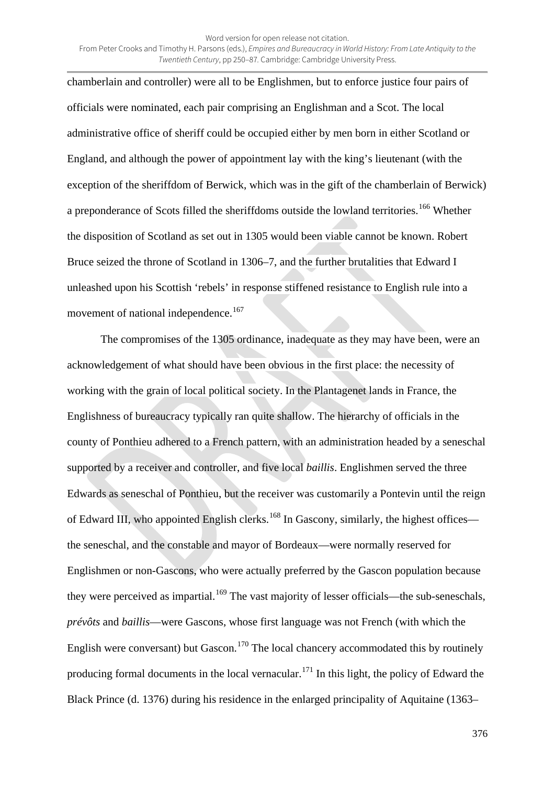chamberlain and controller) were all to be Englishmen, but to enforce justice four pairs of officials were nominated, each pair comprising an Englishman and a Scot. The local administrative office of sheriff could be occupied either by men born in either Scotland or England, and although the power of appointment lay with the king's lieutenant (with the exception of the sheriffdom of Berwick, which was in the gift of the chamberlain of Berwick) a preponderance of Scots filled the sheriffdoms outside the lowland territories.<sup>[166](#page-54-11)</sup> Whether the disposition of Scotland as set out in 1305 would been viable cannot be known. Robert Bruce seized the throne of Scotland in 1306–7, and the further brutalities that Edward I unleashed upon his Scottish 'rebels' in response stiffened resistance to English rule into a movement of national independence.<sup>[167](#page-54-2)</sup>

The compromises of the 1305 ordinance, inadequate as they may have been, were an acknowledgement of what should have been obvious in the first place: the necessity of working with the grain of local political society. In the Plantagenet lands in France, the Englishness of bureaucracy typically ran quite shallow. The hierarchy of officials in the county of Ponthieu adhered to a French pattern, with an administration headed by a seneschal supported by a receiver and controller, and five local *baillis*. Englishmen served the three Edwards as seneschal of Ponthieu, but the receiver was customarily a Pontevin until the reign of Edward III, who appointed English clerks.<sup>[168](#page-54-5)</sup> In Gascony, similarly, the highest offices the seneschal, and the constable and mayor of Bordeaux—were normally reserved for Englishmen or non-Gascons, who were actually preferred by the Gascon population because they were perceived as impartial.<sup>[169](#page-54-12)</sup> The vast majority of lesser officials—the sub-seneschals, *prévôts* and *baillis*—were Gascons, whose first language was not French (with which the English were conversant) but Gascon.<sup>[170](#page-54-13)</sup> The local chancery accommodated this by routinely producing formal documents in the local vernacular.<sup>[171](#page-54-14)</sup> In this light, the policy of Edward the Black Prince (d. 1376) during his residence in the enlarged principality of Aquitaine (1363–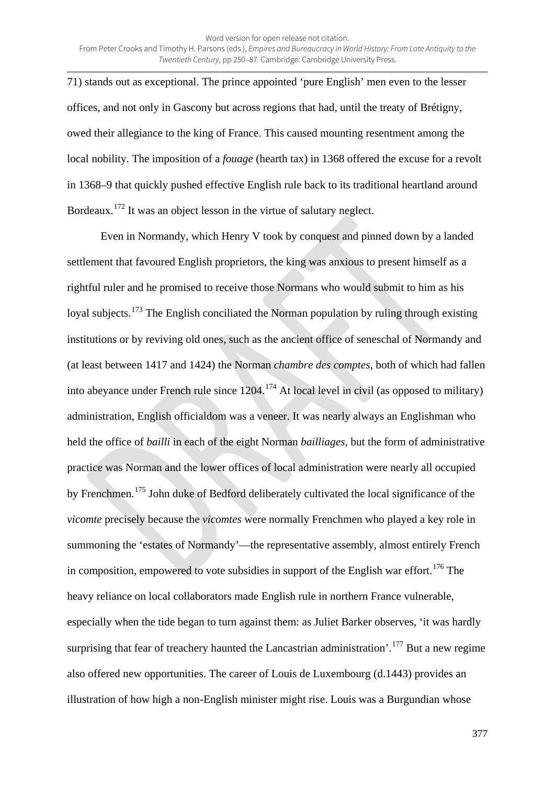71) stands out as exceptional. The prince appointed 'pure English' men even to the lesser offices, and not only in Gascony but across regions that had, until the treaty of Brétigny, owed their allegiance to the king of France. This caused mounting resentment among the local nobility. The imposition of a *fouage* (hearth tax) in 1368 offered the excuse for a revolt in 1368–9 that quickly pushed effective English rule back to its traditional heartland around Bordeaux.<sup>[172](#page-54-15)</sup> It was an object lesson in the virtue of salutary neglect.

Even in Normandy, which Henry V took by conquest and pinned down by a landed settlement that favoured English proprietors, the king was anxious to present himself as a rightful ruler and he promised to receive those Normans who would submit to him as his loyal subjects.<sup>[173](#page-54-9)</sup> The English conciliated the Norman population by ruling through existing institutions or by reviving old ones, such as the ancient office of seneschal of Normandy and (at least between 1417 and 1424) the Norman *chambre des comptes*, both of which had fallen into abeyance under French rule since  $1204$ .<sup>[174](#page-54-10)</sup> At local level in civil (as opposed to military) administration, English officialdom was a veneer. It was nearly always an Englishman who held the office of *bailli* in each of the eight Norman *bailliages*, but the form of administrative practice was Norman and the lower offices of local administration were nearly all occupied by Frenchmen.<sup>[175](#page-54-11)</sup> John duke of Bedford deliberately cultivated the local significance of the *vicomte* precisely because the *vicomtes* were normally Frenchmen who played a key role in summoning the 'estates of Normandy'—the representative assembly, almost entirely French in composition, empowered to vote subsidies in support of the English war effort.<sup>[176](#page-54-3)</sup> The heavy reliance on local collaborators made English rule in northern France vulnerable, especially when the tide began to turn against them: as Juliet Barker observes, 'it was hardly surprising that fear of treachery haunted the Lancastrian administration'.<sup>[177](#page-54-16)</sup> But a new regime also offered new opportunities. The career of Louis de Luxembourg (d.1443) provides an illustration of how high a non-English minister might rise. Louis was a Burgundian whose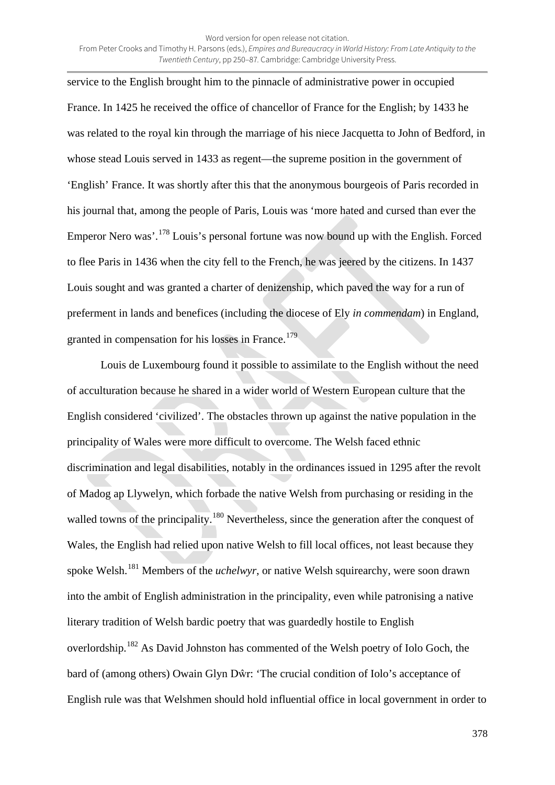service to the English brought him to the pinnacle of administrative power in occupied France. In 1425 he received the office of chancellor of France for the English; by 1433 he was related to the royal kin through the marriage of his niece Jacquetta to John of Bedford, in whose stead Louis served in 1433 as regent—the supreme position in the government of 'English' France. It was shortly after this that the anonymous bourgeois of Paris recorded in his journal that, among the people of Paris, Louis was 'more hated and cursed than ever the Emperor Nero was'.[178](#page-54-6) Louis's personal fortune was now bound up with the English. Forced to flee Paris in 1436 when the city fell to the French, he was jeered by the citizens. In 1437 Louis sought and was granted a charter of denizenship, which paved the way for a run of preferment in lands and benefices (including the diocese of Ely *in commendam*) in England, granted in compensation for his losses in France.<sup>[179](#page-54-17)</sup>

Louis de Luxembourg found it possible to assimilate to the English without the need of acculturation because he shared in a wider world of Western European culture that the English considered 'civilized'. The obstacles thrown up against the native population in the principality of Wales were more difficult to overcome. The Welsh faced ethnic discrimination and legal disabilities, notably in the ordinances issued in 1295 after the revolt of Madog ap Llywelyn, which forbade the native Welsh from purchasing or residing in the walled towns of the principality.<sup>[180](#page-54-12)</sup> Nevertheless, since the generation after the conquest of Wales, the English had relied upon native Welsh to fill local offices, not least because they spoke Welsh.[181](#page-54-18) Members of the *uchelwyr*, or native Welsh squirearchy, were soon drawn into the ambit of English administration in the principality, even while patronising a native literary tradition of Welsh bardic poetry that was guardedly hostile to English overlordship.[182](#page-54-14) As David Johnston has commented of the Welsh poetry of Iolo Goch, the bard of (among others) Owain Glyn Dŵr: 'The crucial condition of Iolo's acceptance of English rule was that Welshmen should hold influential office in local government in order to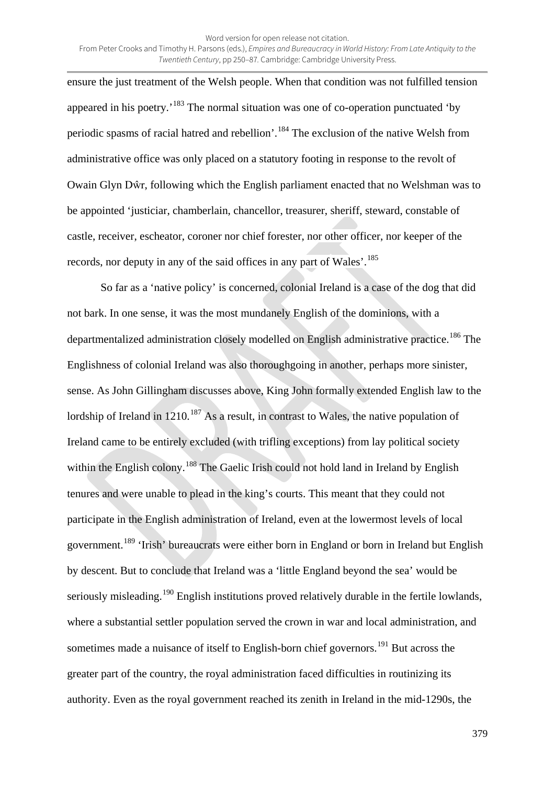ensure the just treatment of the Welsh people. When that condition was not fulfilled tension appeared in his poetry.<sup>[183](#page-54-19)</sup> The normal situation was one of co-operation punctuated 'by periodic spasms of racial hatred and rebellion'.[184](#page-54-9) The exclusion of the native Welsh from administrative office was only placed on a statutory footing in response to the revolt of Owain Glyn Dŵr, following which the English parliament enacted that no Welshman was to be appointed 'justiciar, chamberlain, chancellor, treasurer, sheriff, steward, constable of castle, receiver, escheator, coroner nor chief forester, nor other officer, nor keeper of the records, nor deputy in any of the said offices in any part of Wales'.[185](#page-54-20)

So far as a 'native policy' is concerned, colonial Ireland is a case of the dog that did not bark. In one sense, it was the most mundanely English of the dominions, with a departmentalized administration closely modelled on English administrative practice.<sup>[186](#page-54-21)</sup> The Englishness of colonial Ireland was also thoroughgoing in another, perhaps more sinister, sense. As John Gillingham discusses above, King John formally extended English law to the lordship of Ireland in  $1210$ .<sup>[187](#page-54-22)</sup> As a result, in contrast to Wales, the native population of Ireland came to be entirely excluded (with trifling exceptions) from lay political society within the English colony.<sup>[188](#page-54-17)</sup> The Gaelic Irish could not hold land in Ireland by English tenures and were unable to plead in the king's courts. This meant that they could not participate in the English administration of Ireland, even at the lowermost levels of local government.<sup>[189](#page-54-23)</sup> 'Irish' bureaucrats were either born in England or born in Ireland but English by descent. But to conclude that Ireland was a 'little England beyond the sea' would be seriously misleading.<sup>[190](#page-54-18)</sup> English institutions proved relatively durable in the fertile lowlands, where a substantial settler population served the crown in war and local administration, and sometimes made a nuisance of itself to English-born chief governors.<sup>[191](#page-54-14)</sup> But across the greater part of the country, the royal administration faced difficulties in routinizing its authority. Even as the royal government reached its zenith in Ireland in the mid-1290s, the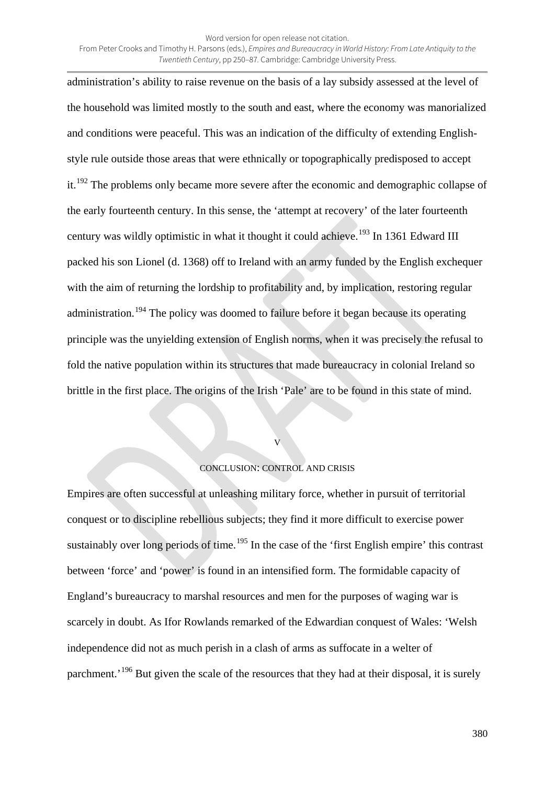administration's ability to raise revenue on the basis of a lay subsidy assessed at the level of the household was limited mostly to the south and east, where the economy was manorialized and conditions were peaceful. This was an indication of the difficulty of extending Englishstyle rule outside those areas that were ethnically or topographically predisposed to accept it.<sup>[192](#page-54-19)</sup> The problems only became more severe after the economic and demographic collapse of the early fourteenth century. In this sense, the 'attempt at recovery' of the later fourteenth century was wildly optimistic in what it thought it could achieve.<sup>[193](#page-54-9)</sup> In 1361 Edward III packed his son Lionel (d. 1368) off to Ireland with an army funded by the English exchequer with the aim of returning the lordship to profitability and, by implication, restoring regular administration.<sup>[194](#page-54-20)</sup> The policy was doomed to failure before it began because its operating principle was the unyielding extension of English norms, when it was precisely the refusal to fold the native population within its structures that made bureaucracy in colonial Ireland so brittle in the first place. The origins of the Irish 'Pale' are to be found in this state of mind.

V

# CONCLUSION: CONTROL AND CRISIS

Empires are often successful at unleashing military force, whether in pursuit of territorial conquest or to discipline rebellious subjects; they find it more difficult to exercise power sustainably over long periods of time.<sup>[195](#page-54-11)</sup> In the case of the 'first English empire' this contrast between 'force' and 'power' is found in an intensified form. The formidable capacity of England's bureaucracy to marshal resources and men for the purposes of waging war is scarcely in doubt. As Ifor Rowlands remarked of the Edwardian conquest of Wales: 'Welsh independence did not as much perish in a clash of arms as suffocate in a welter of parchment.<sup>[196](#page-54-3)</sup> But given the scale of the resources that they had at their disposal, it is surely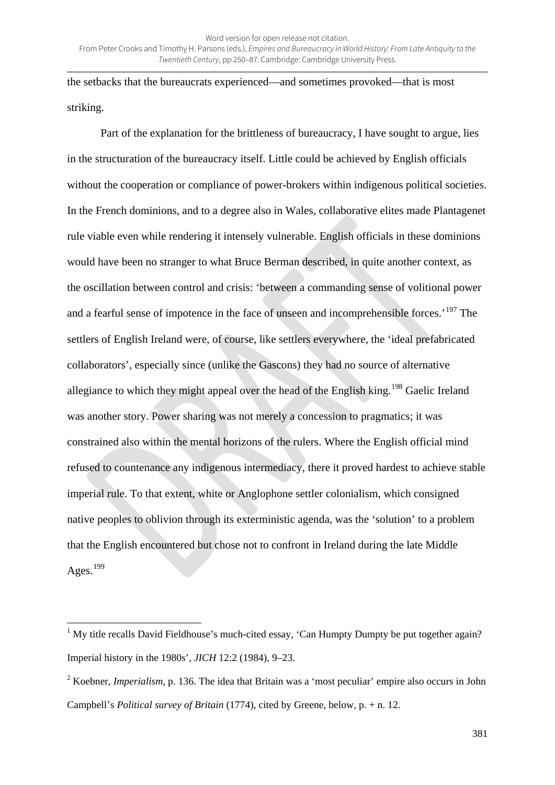the setbacks that the bureaucrats experienced—and sometimes provoked—that is most striking.

Part of the explanation for the brittleness of bureaucracy, I have sought to argue, lies in the structuration of the bureaucracy itself. Little could be achieved by English officials without the cooperation or compliance of power-brokers within indigenous political societies. In the French dominions, and to a degree also in Wales, collaborative elites made Plantagenet rule viable even while rendering it intensely vulnerable. English officials in these dominions would have been no stranger to what Bruce Berman described, in quite another context, as the oscillation between control and crisis: 'between a commanding sense of volitional power and a fearful sense of impotence in the face of unseen and incomprehensible forces.<sup>'[197](#page-54-22)</sup> The settlers of English Ireland were, of course, like settlers everywhere, the 'ideal prefabricated collaborators', especially since (unlike the Gascons) they had no source of alternative allegiance to which they might appeal over the head of the English king.<sup>[198](#page-54-4)</sup> Gaelic Ireland was another story. Power sharing was not merely a concession to pragmatics; it was constrained also within the mental horizons of the rulers. Where the English official mind refused to countenance any indigenous intermediacy, there it proved hardest to achieve stable imperial rule. To that extent, white or Anglophone settler colonialism, which consigned native peoples to oblivion through its exterministic agenda, was the 'solution' to a problem that the English encountered but chose not to confront in Ireland during the late Middle Ages.<sup>[199](#page-54-23)</sup>

 $\overline{a}$ 

 $<sup>1</sup>$  My title recalls David Fieldhouse's much-cited essay, 'Can Humpty Dumpty be put together again?</sup> Imperial history in the 1980s', *JICH* 12:2 (1984), 9–23.

<sup>2</sup> Koebner, *Imperialism*, p. 136. The idea that Britain was a 'most peculiar' empire also occurs in John Campbell's *Political survey of Britain* (1774), cited by Greene, below, p. + n. 12.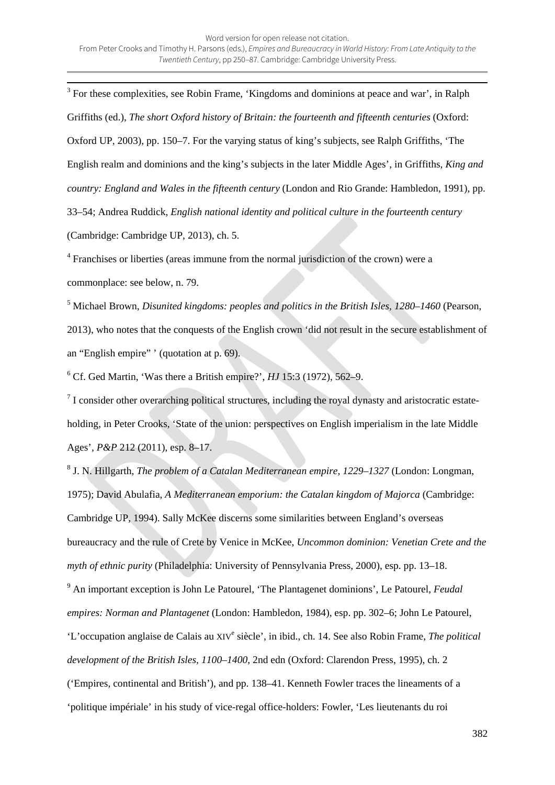<span id="page-31-2"></span> $3$  For these complexities, see Robin Frame, 'Kingdoms and dominions at peace and war', in Ralph Griffiths (ed.), *The short Oxford history of Britain: the fourteenth and fifteenth centuries* (Oxford: Oxford UP, 2003), pp. 150–7. For the varying status of king's subjects, see Ralph Griffiths, 'The English realm and dominions and the king's subjects in the later Middle Ages', in Griffiths, *King and country: England and Wales in the fifteenth century* (London and Rio Grande: Hambledon, 1991), pp. 33–54; Andrea Ruddick, *English national identity and political culture in the fourteenth century*  (Cambridge: Cambridge UP, 2013), ch. 5.

<span id="page-31-3"></span><sup>4</sup> Franchises or liberties (areas immune from the normal jurisdiction of the crown) were a commonplace: see below, n. 79.

<span id="page-31-4"></span><sup>5</sup> Michael Brown, *Disunited kingdoms: peoples and politics in the British Isles, 1280–1460* (Pearson, 2013), who notes that the conquests of the English crown 'did not result in the secure establishment of an "English empire" ' (quotation at p. 69).

 $6$  Cf. Ged Martin, 'Was there a British empire?',  $HJ$  15:3 (1972), 562–9.

 $\overline{a}$ 

 $<sup>7</sup>$  I consider other overarching political structures, including the royal dynasty and aristocratic estate-</sup> holding, in Peter Crooks, 'State of the union: perspectives on English imperialism in the late Middle Ages', *P&P* 212 (2011), esp. 8–17.

<sup>8</sup> J. N. Hillgarth, *The problem of a Catalan Mediterranean empire, 1229–1327* (London: Longman, 1975); David Abulafia, *A Mediterranean emporium: the Catalan kingdom of Majorca* (Cambridge: Cambridge UP, 1994). Sally McKee discerns some similarities between England's overseas bureaucracy and the rule of Crete by Venice in McKee, *Uncommon dominion: Venetian Crete and the myth of ethnic purity* (Philadelphia: University of Pennsylvania Press, 2000), esp. pp. 13–18.

<span id="page-31-1"></span><span id="page-31-0"></span><sup>9</sup> An important exception is John Le Patourel, 'The Plantagenet dominions', Le Patourel, *Feudal empires: Norman and Plantagenet* (London: Hambledon, 1984), esp. pp. 302–6; John Le Patourel, 'L'occupation anglaise de Calais au XIV<sup>e</sup> siècle', in ibid., ch. 14. See also Robin Frame, *The political development of the British Isles, 1100–1400*, 2nd edn (Oxford: Clarendon Press, 1995), ch. 2 ('Empires, continental and British'), and pp. 138–41. Kenneth Fowler traces the lineaments of a 'politique impériale' in his study of vice-regal office-holders: Fowler, 'Les lieutenants du roi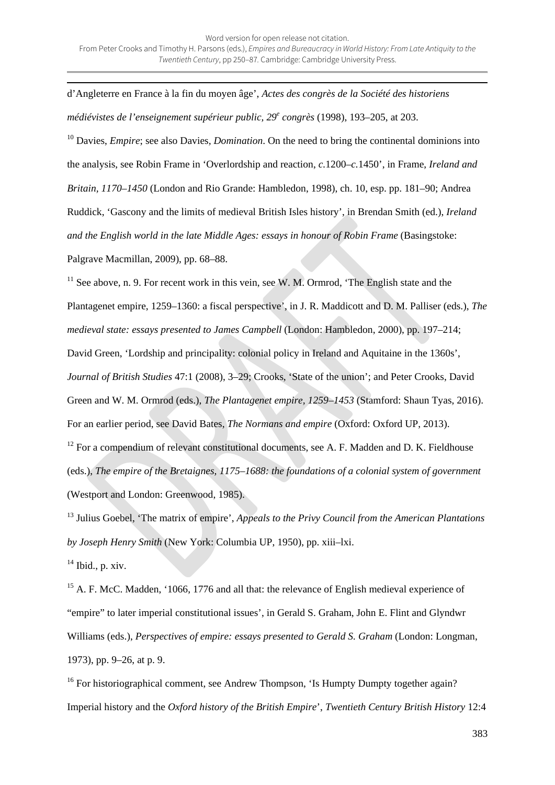d'Angleterre en France à la fin du moyen âge', *Actes des congrès de la Société des historiens médiévistes de l'enseignement supérieur public, 29<sup>e</sup> congrès (1998), 193–205, at 203.* 

<sup>10</sup> Davies, *Empire*; see also Davies*, Domination*. On the need to bring the continental dominions into the analysis, see Robin Frame in 'Overlordship and reaction, *c.*1200–*c.*1450', in Frame, *Ireland and Britain, 1170–1450* (London and Rio Grande: Hambledon, 1998), ch. 10, esp. pp. 181–90; Andrea Ruddick, 'Gascony and the limits of medieval British Isles history', in Brendan Smith (ed.), *Ireland and the English world in the late Middle Ages: essays in honour of Robin Frame* (Basingstoke: Palgrave Macmillan, 2009), pp. 68–88.

<span id="page-32-0"></span> $11$  See above, n. 9. For recent work in this vein, see W. M. Ormrod, 'The English state and the Plantagenet empire, 1259–1360: a fiscal perspective', in J. R. Maddicott and D. M. Palliser (eds.), *The medieval state: essays presented to James Campbell* (London: Hambledon, 2000), pp. 197–214; David Green, 'Lordship and principality: colonial policy in Ireland and Aquitaine in the 1360s', *Journal of British Studies* 47:1 (2008), 3–29; Crooks, 'State of the union'; and Peter Crooks, David Green and W. M. Ormrod (eds.), *The Plantagenet empire, 1259–1453* (Stamford: Shaun Tyas, 2016). For an earlier period, see David Bates, *The Normans and empire* (Oxford: Oxford UP, 2013).  $12$  For a compendium of relevant constitutional documents, see A. F. Madden and D. K. Fieldhouse (eds.), *The empire of the Bretaignes, 1175–1688: the foundations of a colonial system of government*  (Westport and London: Greenwood, 1985).

<span id="page-32-2"></span><span id="page-32-1"></span><sup>13</sup> Julius Goebel, 'The matrix of empire', *Appeals to the Privy Council from the American Plantations by Joseph Henry Smith* (New York: Columbia UP, 1950), pp. xiii–lxi.

 $14$  Ibid., p. xiv.

 $\overline{a}$ 

<sup>15</sup> A. F. McC. Madden, '1066, 1776 and all that: the relevance of English medieval experience of "empire" to later imperial constitutional issues', in Gerald S. Graham, John E. Flint and Glyndwr Williams (eds.), *Perspectives of empire: essays presented to Gerald S. Graham* (London: Longman, 1973), pp. 9–26, at p. 9.

<sup>16</sup> For historiographical comment, see Andrew Thompson, 'Is Humpty Dumpty together again? Imperial history and the *Oxford history of the British Empire*', *Twentieth Century British History* 12:4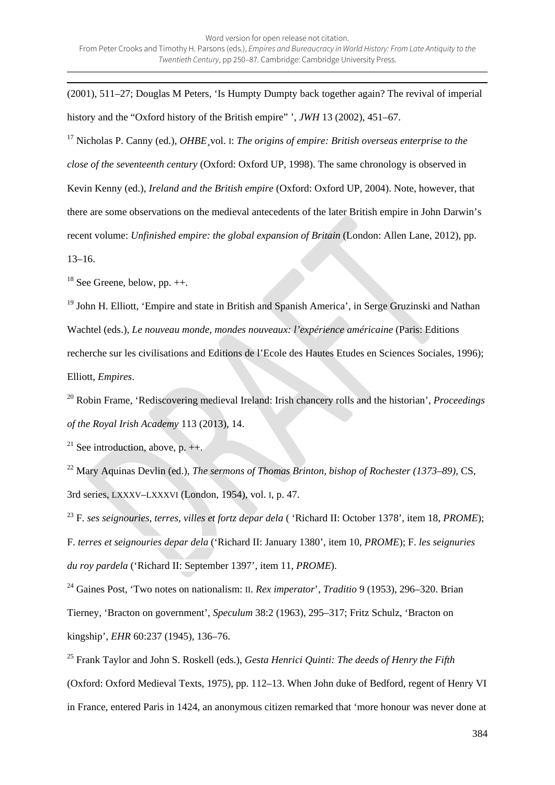(2001), 511–27; Douglas M Peters, 'Is Humpty Dumpty back together again? The revival of imperial history and the "Oxford history of the British empire" ', *JWH* 13 (2002), 451–67.

<span id="page-33-1"></span><sup>17</sup> Nicholas P. Canny (ed.), *OHBE* vol. I: *The origins of empire: British overseas enterprise to the close of the seventeenth century* (Oxford: Oxford UP, 1998). The same chronology is observed in Kevin Kenny (ed.), *Ireland and the British empire* (Oxford: Oxford UP, 2004). Note, however, that there are some observations on the medieval antecedents of the later British empire in John Darwin's recent volume: *Unfinished empire: the global expansion of Britain* (London: Allen Lane, 2012), pp. 13–16.

<span id="page-33-2"></span> $18$  See Greene, below, pp.  $++$ .

 $\overline{a}$ 

<sup>19</sup> John H. Elliott, 'Empire and state in British and Spanish America', in Serge Gruzinski and Nathan Wachtel (eds.), *Le nouveau monde, mondes nouveaux: l'expérience américaine* (Paris: Editions recherche sur les civilisations and Editions de l'Ecole des Hautes Etudes en Sciences Sociales, 1996); Elliott, *Empires*.

<sup>20</sup> Robin Frame, 'Rediscovering medieval Ireland: Irish chancery rolls and the historian', *Proceedings of the Royal Irish Academy* 113 (2013), 14.

<span id="page-33-3"></span><sup>21</sup> See introduction, above, p.  $++$ .

<sup>22</sup> Mary Aquinas Devlin (ed.), *The sermons of Thomas Brinton, bishop of Rochester (1373–89)*, CS, 3rd series, LXXXV–LXXXVI (London, 1954), vol. I, p. 47.

<span id="page-33-4"></span><sup>23</sup> F. *ses seignouries, terres, villes et fortz depar dela* ( 'Richard II: October 1378', item 18, *PROME*); F. *terres et seignouries depar dela* ('Richard II: January 1380', item 10, *PROME*); F. *les seignuries du roy pardela* ('Richard II: September 1397', item 11, *PROME*).

<span id="page-33-5"></span><span id="page-33-0"></span><sup>24</sup> Gaines Post, 'Two notes on nationalism: II. *Rex imperator*', *Traditio* 9 (1953), 296–320. Brian Tierney, 'Bracton on government', *Speculum* 38:2 (1963), 295–317; Fritz Schulz, 'Bracton on kingship', *EHR* 60:237 (1945), 136–76.

<sup>25</sup> Frank Taylor and John S. Roskell (eds.), *Gesta Henrici Quinti: The deeds of Henry the Fifth*  (Oxford: Oxford Medieval Texts, 1975), pp. 112–13. When John duke of Bedford, regent of Henry VI in France, entered Paris in 1424, an anonymous citizen remarked that 'more honour was never done at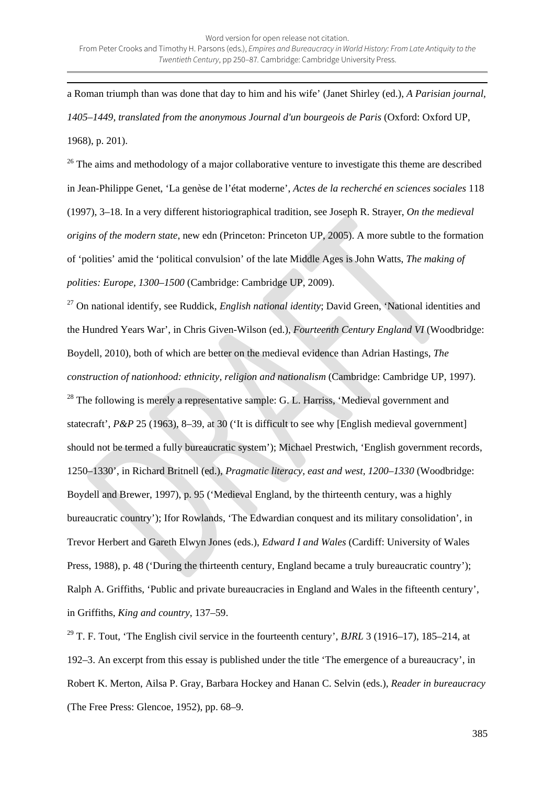$\overline{a}$ 

a Roman triumph than was done that day to him and his wife' (Janet Shirley (ed.), *A Parisian journal, 1405–1449, translated from the anonymous Journal d'un bourgeois de Paris* (Oxford: Oxford UP, 1968), p. 201).

<span id="page-34-1"></span> $26$  The aims and methodology of a major collaborative venture to investigate this theme are described in Jean-Philippe Genet, 'La genèse de l'état moderne', *Actes de la recherché en sciences sociales* 118 (1997), 3–18. In a very different historiographical tradition, see Joseph R. Strayer, *On the medieval origins of the modern state*, new edn (Princeton: Princeton UP, 2005). A more subtle to the formation of 'polities' amid the 'political convulsion' of the late Middle Ages is John Watts, *The making of polities: Europe, 1300–1500* (Cambridge: Cambridge UP, 2009).

<span id="page-34-5"></span><span id="page-34-4"></span><span id="page-34-3"></span><span id="page-34-2"></span><sup>27</sup> On national identify, see Ruddick, *English national identity*; David Green, 'National identities and the Hundred Years War', in Chris Given-Wilson (ed.), *Fourteenth Century England VI* (Woodbridge: Boydell, 2010), both of which are better on the medieval evidence than Adrian Hastings, *The construction of nationhood: ethnicity, religion and nationalism* (Cambridge: Cambridge UP, 1997).  $28$  The following is merely a representative sample: G. L. Harriss, 'Medieval government and statecraft', *P&P* 25 (1963), 8–39, at 30 ('It is difficult to see why [English medieval government] should not be termed a fully bureaucratic system'); Michael Prestwich, 'English government records, 1250–1330', in Richard Britnell (ed.), *Pragmatic literacy, east and west, 1200–1330* (Woodbridge: Boydell and Brewer, 1997), p. 95 ('Medieval England, by the thirteenth century, was a highly bureaucratic country'); Ifor Rowlands, 'The Edwardian conquest and its military consolidation', in Trevor Herbert and Gareth Elwyn Jones (eds.), *Edward I and Wales* (Cardiff: University of Wales Press, 1988), p. 48 ('During the thirteenth century, England became a truly bureaucratic country'); Ralph A. Griffiths, 'Public and private bureaucracies in England and Wales in the fifteenth century', in Griffiths, *King and country*, 137–59.

<span id="page-34-0"></span><sup>29</sup> T. F. Tout, 'The English civil service in the fourteenth century', *BJRL* 3 (1916–17), 185–214, at 192–3. An excerpt from this essay is published under the title 'The emergence of a bureaucracy', in Robert K. Merton, Ailsa P. Gray, Barbara Hockey and Hanan C. Selvin (eds.), *Reader in bureaucracy* (The Free Press: Glencoe, 1952), pp. 68–9.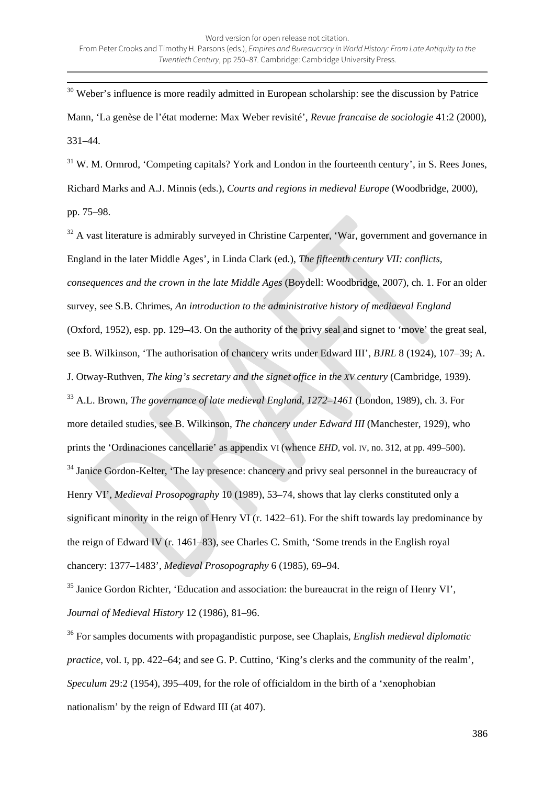$\overline{a}$ 

<sup>30</sup> Weber's influence is more readily admitted in European scholarship: see the discussion by Patrice Mann, 'La genèse de l'état moderne: Max Weber revisité', *Revue francaise de sociologie* 41:2 (2000), 331–44.

<span id="page-35-4"></span> $31$  W. M. Ormrod, 'Competing capitals? York and London in the fourteenth century', in S. Rees Jones, Richard Marks and A.J. Minnis (eds.), *Courts and regions in medieval Europe* (Woodbridge, 2000), pp. 75–98.

<span id="page-35-6"></span><span id="page-35-5"></span> $32$  A vast literature is admirably surveyed in Christine Carpenter, 'War, government and governance in England in the later Middle Ages', in Linda Clark (ed.), *The fifteenth century VII: conflicts, consequences and the crown in the late Middle Ages* (Boydell: Woodbridge, 2007), ch. 1. For an older survey, see S.B. Chrimes, *An introduction to the administrative history of mediaeval England* (Oxford, 1952), esp. pp. 129–43. On the authority of the privy seal and signet to 'move' the great seal, see B. Wilkinson, 'The authorisation of chancery writs under Edward III', *BJRL* 8 (1924), 107–39; A. J. Otway-Ruthven, *The king's secretary and the signet office in the XV century* (Cambridge, 1939). <sup>33</sup> A.L. Brown, *The governance of late medieval England, 1272–1461* (London, 1989), ch. 3. For more detailed studies, see B. Wilkinson, *The chancery under Edward III* (Manchester, 1929), who prints the 'Ordinaciones cancellarie' as appendix VI (whence *EHD*, vol. IV, no. 312, at pp. 499–500). <sup>34</sup> Janice Gordon-Kelter, 'The lay presence: chancery and privy seal personnel in the bureaucracy of Henry VI', *Medieval Prosopography* 10 (1989), 53–74, shows that lay clerks constituted only a significant minority in the reign of Henry VI (r. 1422–61). For the shift towards lay predominance by the reign of Edward IV (r. 1461–83), see Charles C. Smith, 'Some trends in the English royal chancery: 1377–1483', *Medieval Prosopography* 6 (1985), 69–94.

<span id="page-35-2"></span><span id="page-35-1"></span><span id="page-35-0"></span> $35$  Janice Gordon Richter, 'Education and association: the bureaucrat in the reign of Henry VI'. *Journal of Medieval History* 12 (1986), 81–96.

<span id="page-35-7"></span><span id="page-35-3"></span><sup>36</sup> For samples documents with propagandistic purpose, see Chaplais, *English medieval diplomatic practice*, vol. I, pp. 422–64; and see G. P. Cuttino, 'King's clerks and the community of the realm', *Speculum* 29:2 (1954), 395–409, for the role of officialdom in the birth of a 'xenophobian nationalism' by the reign of Edward III (at 407).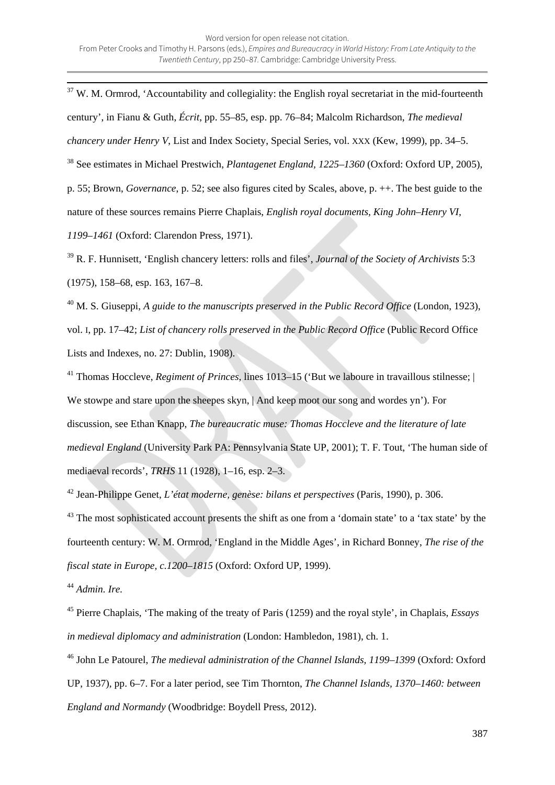<span id="page-36-1"></span><span id="page-36-0"></span> $37$  W. M. Ormrod, 'Accountability and collegiality: the English royal secretariat in the mid-fourteenth century', in Fianu & Guth, *Écrit*, pp. 55–85, esp. pp. 76–84; Malcolm Richardson, *The medieval chancery under Henry V*, List and Index Society, Special Series, vol. XXX (Kew, 1999), pp. 34–5. <sup>38</sup> See estimates in Michael Prestwich, *Plantagenet England, 1225–1360* (Oxford: Oxford UP, 2005), p. 55; Brown, *Governance*, p. 52; see also figures cited by Scales, above, p. ++. The best guide to the nature of these sources remains Pierre Chaplais, *English royal documents, King John–Henry VI, 1199–1461* (Oxford: Clarendon Press, 1971).

<span id="page-36-2"></span><sup>39</sup> R. F. Hunnisett, 'English chancery letters: rolls and files', *Journal of the Society of Archivists* 5:3 (1975), 158–68, esp. 163, 167–8.

<sup>40</sup> M. S. Giuseppi, *A guide to the manuscripts preserved in the Public Record Office* (London, 1923), vol. I, pp. 17–42; *List of chancery rolls preserved in the Public Record Office* (Public Record Office Lists and Indexes, no. 27: Dublin, 1908).

<span id="page-36-3"></span><sup>41</sup> Thomas Hoccleve, *Regiment of Princes*, lines 1013–15 ('But we laboure in travaillous stilnesse; | We stowpe and stare upon the sheepes skyn, | And keep moot our song and wordes yn'). For discussion, see Ethan Knapp, *The bureaucratic muse: Thomas Hoccleve and the literature of late medieval England* (University Park PA: Pennsylvania State UP, 2001); T. F. Tout, 'The human side of mediaeval records', *TRHS* 11 (1928), 1–16, esp. 2–3.

<span id="page-36-4"></span><sup>42</sup> Jean-Philippe Genet, *L'état moderne, genèse: bilans et perspectives* (Paris, 1990), p. 306.

<sup>43</sup> The most sophisticated account presents the shift as one from a 'domain state' to a 'tax state' by the fourteenth century: W. M. Ormrod, 'England in the Middle Ages', in Richard Bonney, *The rise of the fiscal state in Europe, c.1200–1815* (Oxford: Oxford UP, 1999).

<span id="page-36-5"></span><sup>44</sup> *Admin. Ire.*

 $\overline{a}$ 

<sup>45</sup> Pierre Chaplais, 'The making of the treaty of Paris (1259) and the royal style', in Chaplais, *Essays in medieval diplomacy and administration* (London: Hambledon, 1981), ch. 1.

<span id="page-36-6"></span><sup>46</sup> John Le Patourel, *The medieval administration of the Channel Islands, 1199–1399* (Oxford: Oxford UP, 1937), pp. 6–7. For a later period, see Tim Thornton, *The Channel Islands, 1370–1460: between England and Normandy* (Woodbridge: Boydell Press, 2012).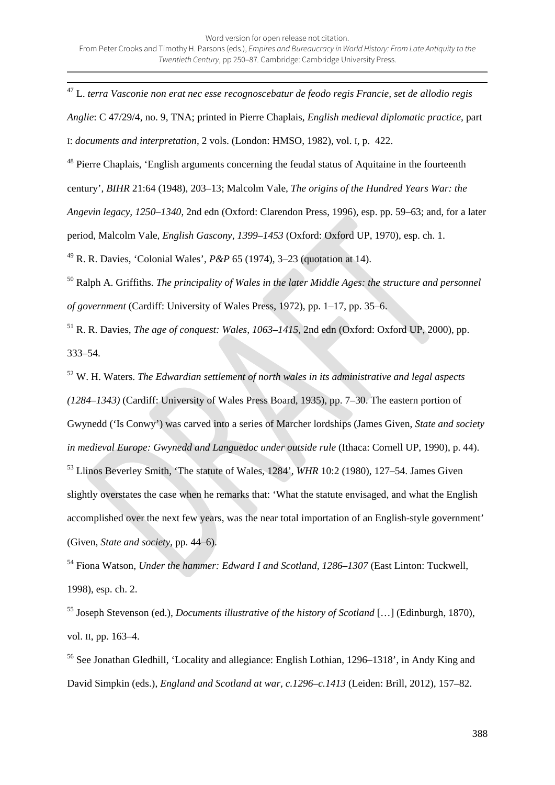<span id="page-37-0"></span><sup>47</sup> L. *terra Vasconie non erat nec esse recognoscebatur de feodo regis Francie, set de allodio regis Anglie*: C 47/29/4, no. 9, TNA; printed in Pierre Chaplais, *English medieval diplomatic practice,* part

I: *documents and interpretation*, 2 vols. (London: HMSO, 1982), vol. I, p. 422.

 $\overline{a}$ 

<span id="page-37-1"></span> $48$  Pierre Chaplais, 'English arguments concerning the feudal status of Aquitaine in the fourteenth century', *BIHR* 21:64 (1948), 203–13; Malcolm Vale, *The origins of the Hundred Years War: the Angevin legacy, 1250–1340*, 2nd edn (Oxford: Clarendon Press, 1996), esp. pp. 59–63; and, for a later period, Malcolm Vale, *English Gascony, 1399–1453* (Oxford: Oxford UP, 1970), esp. ch. 1. <sup>49</sup> R. R. Davies, 'Colonial Wales', *P&P* 65 (1974), 3–23 (quotation at 14).

<span id="page-37-2"></span><sup>50</sup> Ralph A. Griffiths. *The principality of Wales in the later Middle Ages: the structure and personnel of government* (Cardiff: University of Wales Press, 1972), pp. 1–17, pp. 35–6.

<span id="page-37-3"></span><sup>51</sup> R. R. Davies, *The age of conquest: Wales, 1063–1415*, 2nd edn (Oxford: Oxford UP, 2000), pp. 333–54.

<span id="page-37-4"></span><sup>52</sup> W. H. Waters. *The Edwardian settlement of north wales in its administrative and legal aspects (1284–1343)* (Cardiff: University of Wales Press Board, 1935), pp. 7–30. The eastern portion of Gwynedd ('Is Conwy') was carved into a series of Marcher lordships (James Given, *State and society in medieval Europe: Gwynedd and Languedoc under outside rule* (Ithaca: Cornell UP, 1990), p. 44). <sup>53</sup> Llinos Beverley Smith, 'The statute of Wales, 1284', *WHR* 10:2 (1980), 127–54. James Given slightly overstates the case when he remarks that: 'What the statute envisaged, and what the English accomplished over the next few years, was the near total importation of an English-style government' (Given, *State and society*, pp. 44–6).

<span id="page-37-6"></span><span id="page-37-5"></span><sup>54</sup> Fiona Watson, *Under the hammer: Edward I and Scotland, 1286–1307* (East Linton: Tuckwell, 1998), esp. ch. 2.

<span id="page-37-7"></span><sup>55</sup> Joseph Stevenson (ed.), *Documents illustrative of the history of Scotland* […] (Edinburgh, 1870), vol. II, pp. 163–4.

<sup>56</sup> See Jonathan Gledhill, 'Locality and allegiance: English Lothian, 1296–1318', in Andy King and David Simpkin (eds.), *England and Scotland at war, c.1296–c.1413* (Leiden: Brill, 2012), 157–82.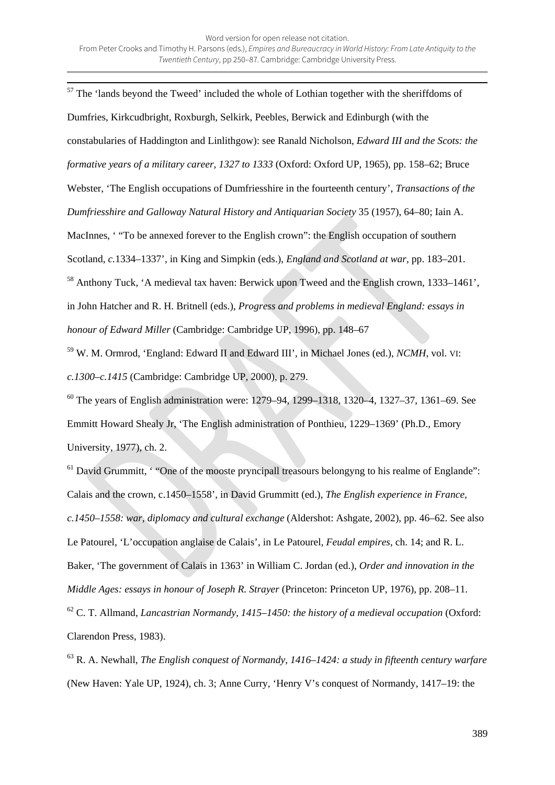<span id="page-38-3"></span><span id="page-38-2"></span> $\overline{a}$  $57$  The 'lands beyond the Tweed' included the whole of Lothian together with the sheriffdoms of Dumfries, Kirkcudbright, Roxburgh, Selkirk, Peebles, Berwick and Edinburgh (with the constabularies of Haddington and Linlithgow): see Ranald Nicholson, *Edward III and the Scots: the formative years of a military career, 1327 to 1333* (Oxford: Oxford UP, 1965), pp. 158–62; Bruce Webster, 'The English occupations of Dumfriesshire in the fourteenth century', *Transactions of the Dumfriesshire and Galloway Natural History and Antiquarian Society* 35 (1957), 64–80; Iain A. MacInnes, ' "To be annexed forever to the English crown": the English occupation of southern Scotland, *c.*1334–1337', in King and Simpkin (eds.), *England and Scotland at war*, pp. 183–201. <sup>58</sup> Anthony Tuck, 'A medieval tax haven: Berwick upon Tweed and the English crown, 1333–1461', in John Hatcher and R. H. Britnell (eds.), *Progress and problems in medieval England: essays in honour of Edward Miller* (Cambridge: Cambridge UP, 1996), pp. 148–67

<span id="page-38-4"></span><sup>59</sup> W. M. Ormrod, 'England: Edward II and Edward III', in Michael Jones (ed.), *NCMH*, vol. VI: *c.1300–c.1415* (Cambridge: Cambridge UP, 2000), p. 279.

 $60$  The years of English administration were: 1279–94, 1299–1318, 1320–4, 1327–37, 1361–69. See Emmitt Howard Shealy Jr, 'The English administration of Ponthieu, 1229–1369' (Ph.D., Emory University, 1977), ch. 2.

<sup>61</sup> David Grummitt, ' "One of the mooste pryncipall treasours belongyng to his realme of Englande": Calais and the crown, c.1450–1558', in David Grummitt (ed.), *The English experience in France, c.1450–1558: war, diplomacy and cultural exchange* (Aldershot: Ashgate, 2002), pp. 46–62. See also Le Patourel, 'L'occupation anglaise de Calais', in Le Patourel, *Feudal empires*, ch. 14; and R. L. Baker, 'The government of Calais in 1363' in William C. Jordan (ed.), *Order and innovation in the Middle Ages: essays in honour of Joseph R. Strayer* (Princeton: Princeton UP, 1976), pp. 208–11. <sup>62</sup> C. T. Allmand, *Lancastrian Normandy, 1415–1450: the history of a medieval occupation* (Oxford: Clarendon Press, 1983).

<span id="page-38-1"></span><span id="page-38-0"></span><sup>63</sup> R. A. Newhall, *The English conquest of Normandy, 1416–1424: a study in fifteenth century warfare*  (New Haven: Yale UP, 1924), ch. 3; Anne Curry, 'Henry V's conquest of Normandy, 1417–19: the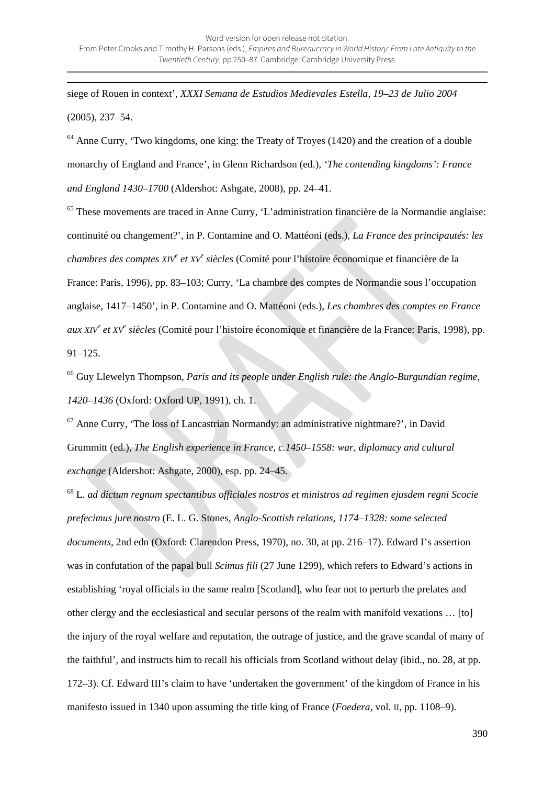<span id="page-39-7"></span>siege of Rouen in context', *XXXI Semana de Estudios Medievales Estella, 19–23 de Julio 2004*  (2005), 237–54.

 $\overline{a}$ 

 $64$  Anne Curry, 'Two kingdoms, one king: the Treaty of Troves (1420) and the creation of a double monarchy of England and France', in Glenn Richardson (ed.), *'The contending kingdoms': France and England 1430–1700* (Aldershot: Ashgate, 2008), pp. 24–41.

<span id="page-39-0"></span><sup>65</sup> These movements are traced in Anne Curry, 'L'administration financière de la Normandie anglaise: continuité ou changement?', in P. Contamine and O. Mattéoni (eds.), *La France des principautés: les chambres des comptes XIV<sup>e</sup> et XV<sup>e</sup> siècles* (Comité pour l'histoire économique et financière de la France: Paris, 1996), pp. 83–103; Curry, 'La chambre des comptes de Normandie sous l'occupation anglaise, 1417–1450', in P. Contamine and O. Mattéoni (eds.), *Les chambres des comptes en France aux XIV<sup>e</sup> et XVe siècles* (Comité pour l'histoire économique et financière de la France: Paris, 1998), pp. 91–125.

<span id="page-39-2"></span><span id="page-39-1"></span><sup>66</sup> Guy Llewelyn Thompson, *Paris and its people under English rule: the Anglo-Burgundian regime, 1420–1436* (Oxford: Oxford UP, 1991), ch. 1.

 $67$  Anne Curry, 'The loss of Lancastrian Normandy: an administrative nightmare?', in David Grummitt (ed.), *The English experience in France, c.1450–1558: war, diplomacy and cultural exchange* (Aldershot: Ashgate, 2000), esp. pp. 24–45.

<span id="page-39-6"></span><span id="page-39-5"></span><span id="page-39-4"></span><span id="page-39-3"></span><sup>68</sup> L. *ad dictum regnum spectantibus officiales nostros et ministros ad regimen ejusdem regni Scocie prefecimus jure nostro* (E. L. G. Stones, *Anglo-Scottish relations, 1174–1328: some selected documents*, 2nd edn (Oxford: Clarendon Press, 1970), no. 30, at pp. 216–17). Edward I's assertion was in confutation of the papal bull *Scimus fili* (27 June 1299), which refers to Edward's actions in establishing 'royal officials in the same realm [Scotland], who fear not to perturb the prelates and other clergy and the ecclesiastical and secular persons of the realm with manifold vexations … [to] the injury of the royal welfare and reputation, the outrage of justice, and the grave scandal of many of the faithful', and instructs him to recall his officials from Scotland without delay (ibid., no. 28, at pp. 172–3). Cf. Edward III's claim to have 'undertaken the government' of the kingdom of France in his manifesto issued in 1340 upon assuming the title king of France (*Foedera*, vol. II, pp. 1108–9).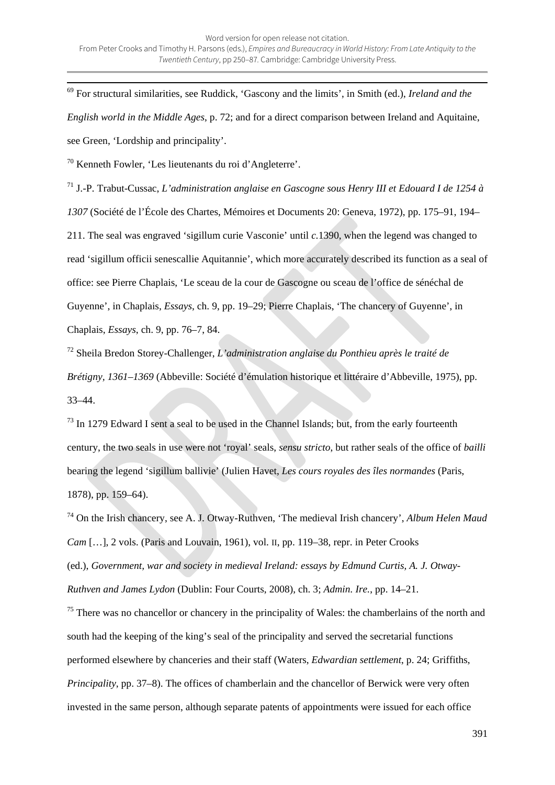$\overline{a}$ <sup>69</sup> For structural similarities, see Ruddick, 'Gascony and the limits', in Smith (ed.), *Ireland and the English world in the Middle Ages*, p. 72; and for a direct comparison between Ireland and Aquitaine, see Green, 'Lordship and principality'.

<span id="page-40-6"></span><sup>70</sup> Kenneth Fowler, 'Les lieutenants du roi d'Angleterre'.

<sup>71</sup> J.-P. Trabut-Cussac, *L'administration anglaise en Gascogne sous Henry III et Edouard I de 1254 à 1307* (Société de l'École des Chartes, Mémoires et Documents 20: Geneva, 1972), pp. 175–91, 194– 211. The seal was engraved 'sigillum curie Vasconie' until *c.*1390, when the legend was changed to read 'sigillum officii senescallie Aquitannie', which more accurately described its function as a seal of office: see Pierre Chaplais, 'Le sceau de la cour de Gascogne ou sceau de l'office de sénéchal de Guyenne', in Chaplais, *Essays*, ch. 9, pp. 19–29; Pierre Chaplais, 'The chancery of Guyenne', in Chaplais, *Essays*, ch. 9, pp. 76–7, 84.

<span id="page-40-1"></span><span id="page-40-0"></span><sup>72</sup> Sheila Bredon Storey-Challenger, *L'administration anglaise du Ponthieu après le traité de Brétigny, 1361–1369* (Abbeville: Société d'émulation historique et littéraire d'Abbeville, 1975), pp. 33–44.

<span id="page-40-2"></span> $<sup>73</sup>$  In 1279 Edward I sent a seal to be used in the Channel Islands; but, from the early fourteenth</sup> century, the two seals in use were not 'royal' seals, *sensu stricto*, but rather seals of the office of *bailli*  bearing the legend 'sigillum ballivie' (Julien Havet, *Les cours royales des îles normandes* (Paris, 1878), pp. 159–64).

<span id="page-40-3"></span><sup>74</sup> On the Irish chancery, see A. J. Otway-Ruthven, 'The medieval Irish chancery', *Album Helen Maud Cam* […], 2 vols. (Paris and Louvain, 1961), vol. II, pp. 119–38, repr. in Peter Crooks (ed.), *Government, war and society in medieval Ireland: essays by Edmund Curtis, A. J. Otway-Ruthven and James Lydon* (Dublin: Four Courts, 2008), ch. 3; *Admin. Ire.*, pp. 14–21.

<span id="page-40-5"></span><span id="page-40-4"></span><sup>75</sup> There was no chancellor or chancery in the principality of Wales: the chamberlains of the north and south had the keeping of the king's seal of the principality and served the secretarial functions performed elsewhere by chanceries and their staff (Waters, *Edwardian settlement*, p. 24; Griffiths, *Principality*, pp. 37–8). The offices of chamberlain and the chancellor of Berwick were very often invested in the same person, although separate patents of appointments were issued for each office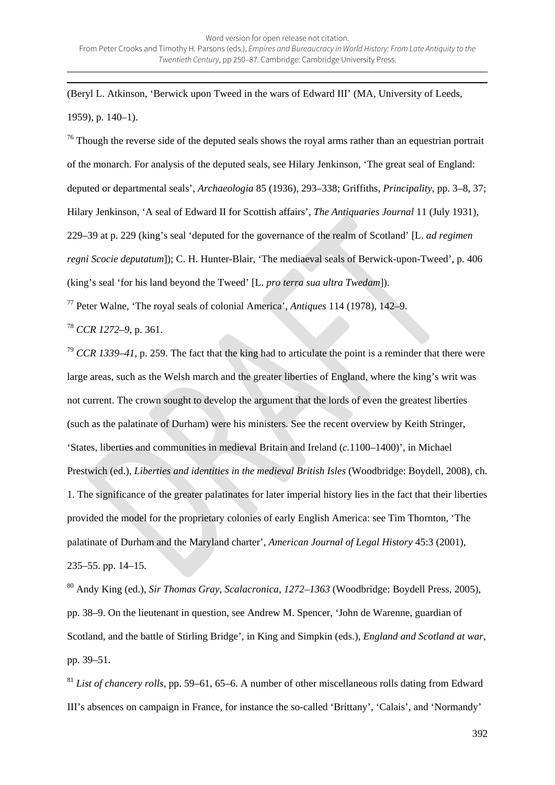<span id="page-41-4"></span> $\overline{a}$ (Beryl L. Atkinson, 'Berwick upon Tweed in the wars of Edward III' (MA, University of Leeds, 1959), p. 140–1).

<span id="page-41-0"></span> $76$  Though the reverse side of the deputed seals shows the royal arms rather than an equestrian portrait of the monarch. For analysis of the deputed seals, see Hilary Jenkinson, 'The great seal of England: deputed or departmental seals', *Archaeologia* 85 (1936), 293–338; Griffiths, *Principality*, pp. 3–8, 37; Hilary Jenkinson, 'A seal of Edward II for Scottish affairs', *The Antiquaries Journal* 11 (July 1931), 229–39 at p. 229 (king's seal 'deputed for the governance of the realm of Scotland' [L. *ad regimen regni Scocie deputatum*]); C. H. Hunter-Blair, 'The mediaeval seals of Berwick-upon-Tweed', p. 406 (king's seal 'for his land beyond the Tweed' [L. *pro terra sua ultra Twedam*]).

<sup>77</sup> Peter Walne, 'The royal seals of colonial America', *Antiques* 114 (1978), 142–9.

<sup>78</sup> *CCR 1272–9*, p. 361.

<span id="page-41-2"></span><span id="page-41-1"></span><sup>79</sup> *CCR 1339–41*, p. 259. The fact that the king had to articulate the point is a reminder that there were large areas, such as the Welsh march and the greater liberties of England, where the king's writ was not current. The crown sought to develop the argument that the lords of even the greatest liberties (such as the palatinate of Durham) were his ministers. See the recent overview by Keith Stringer, 'States, liberties and communities in medieval Britain and Ireland (*c.*1100–1400)', in Michael Prestwich (ed.), *Liberties and identities in the medieval British Isles* (Woodbridge: Boydell, 2008), ch. 1. The significance of the greater palatinates for later imperial history lies in the fact that their liberties provided the model for the proprietary colonies of early English America: see Tim Thornton, 'The palatinate of Durham and the Maryland charter', *American Journal of Legal History* 45:3 (2001), 235–55. pp. 14–15.

<span id="page-41-3"></span><sup>80</sup> Andy King (ed.), *Sir Thomas Gray, Scalacronica, 1272–1363* (Woodbridge: Boydell Press, 2005), pp. 38–9. On the lieutenant in question, see Andrew M. Spencer, 'John de Warenne, guardian of Scotland, and the battle of Stirling Bridge', in King and Simpkin (eds.), *England and Scotland at war*, pp. 39–51.

<sup>81</sup> *List of chancery rolls*, pp. 59–61, 65–6. A number of other miscellaneous rolls dating from Edward III's absences on campaign in France, for instance the so-called 'Brittany', 'Calais', and 'Normandy'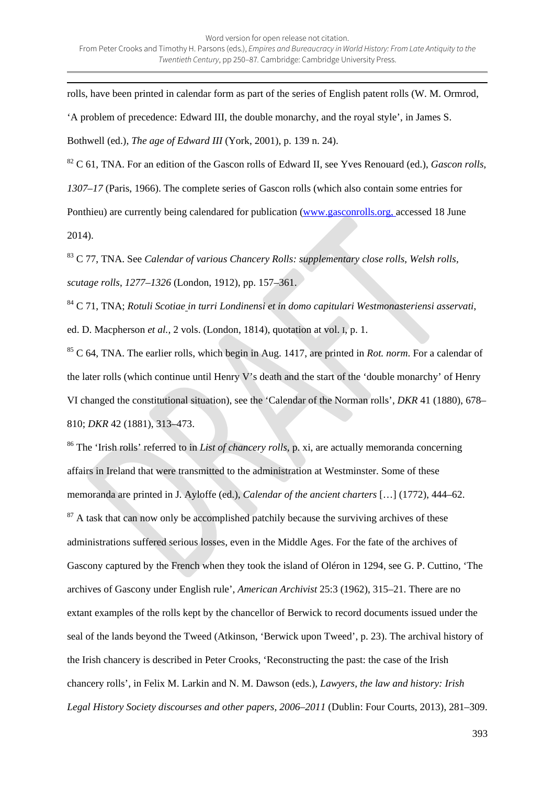rolls, have been printed in calendar form as part of the series of English patent rolls (W. M. Ormrod,

'A problem of precedence: Edward III, the double monarchy, and the royal style', in James S.

<span id="page-42-6"></span>Bothwell (ed.), *The age of Edward III* (York, 2001), p. 139 n. 24).

 $\overline{a}$ 

<span id="page-42-1"></span><span id="page-42-0"></span><sup>82</sup> C 61, TNA. For an edition of the Gascon rolls of Edward II, see Yves Renouard (ed.), *Gascon rolls, 1307–17* (Paris, 1966). The complete series of Gascon rolls (which also contain some entries for Ponthieu) are currently being calendared for publication [\(www.gasconrolls.org,](http://www.gasconrolls.org/) accessed 18 June 2014).

<sup>83</sup> C 77, TNA. See *Calendar of various Chancery Rolls: supplementary close rolls, Welsh rolls, scutage rolls*, *1277–1326* (London, 1912), pp. 157–361.

<span id="page-42-7"></span><sup>84</sup> C 71, TNA; *Rotuli Scotiae in turri Londinensi et in domo capitulari Westmonasteriensi asservati*, ed. D. Macpherson *et al.,* 2 vols. (London, 1814), quotation at vol. I, p. 1.

<span id="page-42-8"></span><span id="page-42-2"></span><sup>85</sup> C 64, TNA. The earlier rolls, which begin in Aug. 1417, are printed in *Rot. norm*. For a calendar of the later rolls (which continue until Henry V's death and the start of the 'double monarchy' of Henry VI changed the constitutional situation), see the 'Calendar of the Norman rolls', *DKR* 41 (1880), 678– 810; *DKR* 42 (1881), 313–473.

<span id="page-42-5"></span><span id="page-42-4"></span><span id="page-42-3"></span><sup>86</sup> The 'Irish rolls' referred to in *List of chancery rolls*, p. xi, are actually memoranda concerning affairs in Ireland that were transmitted to the administration at Westminster. Some of these memoranda are printed in J. Ayloffe (ed.), *Calendar of the ancient charters* […] (1772), 444–62.  $87$  A task that can now only be accomplished patchily because the surviving archives of these administrations suffered serious losses, even in the Middle Ages. For the fate of the archives of Gascony captured by the French when they took the island of Oléron in 1294, see G. P. Cuttino, 'The archives of Gascony under English rule', *American Archivist* 25:3 (1962), 315–21. There are no extant examples of the rolls kept by the chancellor of Berwick to record documents issued under the seal of the lands beyond the Tweed (Atkinson, 'Berwick upon Tweed', p. 23). The archival history of the Irish chancery is described in Peter Crooks, 'Reconstructing the past: the case of the Irish chancery rolls', in Felix M. Larkin and N. M. Dawson (eds.), *Lawyers, the law and history: Irish Legal History Society discourses and other papers, 2006–2011* (Dublin: Four Courts, 2013), 281–309.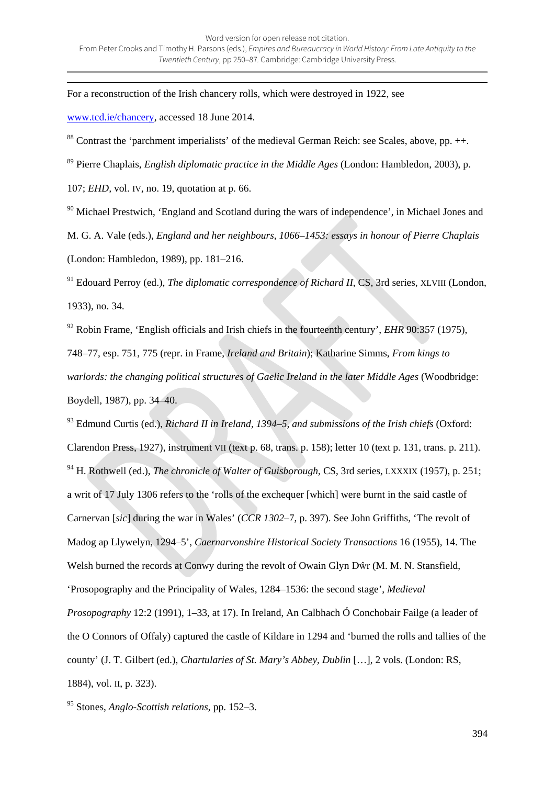For a reconstruction of the Irish chancery rolls, which were destroyed in 1922, see

[www.tcd.ie/chancery,](http://www.tcd.ie/chancery) accessed 18 June 2014.

 $\overline{a}$ 

 $88$  Contrast the 'parchment imperialists' of the medieval German Reich: see Scales, above, pp.  $++$ .

<span id="page-43-3"></span><sup>89</sup> Pierre Chaplais, *English diplomatic practice in the Middle Ages* (London: Hambledon, 2003), p.

107; *EHD,* vol. IV, no. 19, quotation at p. 66.

 $90$  Michael Prestwich, 'England and Scotland during the wars of independence', in Michael Jones and M. G. A. Vale (eds.), *England and her neighbours, 1066–1453: essays in honour of Pierre Chaplais* (London: Hambledon, 1989), pp. 181–216.

<sup>91</sup> Edouard Perroy (ed.), *The diplomatic correspondence of Richard II*, CS, 3rd series, XLVIII (London, 1933), no. 34.

<sup>92</sup> Robin Frame, 'English officials and Irish chiefs in the fourteenth century', *EHR* 90:357 (1975),

<span id="page-43-0"></span>748–77, esp. 751, 775 (repr. in Frame, *Ireland and Britain*); Katharine Simms, *From kings to warlords: the changing political structures of Gaelic Ireland in the later Middle Ages* (Woodbridge: Boydell, 1987), pp. 34–40.

<sup>93</sup> Edmund Curtis (ed.), *Richard II in Ireland, 1394–5, and submissions of the Irish chiefs* (Oxford: Clarendon Press, 1927), instrument VII (text p. 68, trans. p. 158); letter 10 (text p. 131, trans. p. 211). <sup>94</sup> H. Rothwell (ed.), *The chronicle of Walter of Guisborough*, CS, 3rd series, LXXXIX (1957), p. 251; a writ of 17 July 1306 refers to the 'rolls of the exchequer [which] were burnt in the said castle of Carnervan [*sic*] during the war in Wales' (*CCR 1302–*7, p. 397). See John Griffiths, 'The revolt of Madog ap Llywelyn, 1294–5', *Caernarvonshire Historical Society Transactions* 16 (1955), 14. The Welsh burned the records at Conwy during the revolt of Owain Glyn Dŵr (M. M. N. Stansfield, 'Prosopography and the Principality of Wales, 1284–1536: the second stage', *Medieval Prosopography* 12:2 (1991), 1–33, at 17). In Ireland, An Calbhach Ó Conchobair Failge (a leader of the O Connors of Offaly) captured the castle of Kildare in 1294 and 'burned the rolls and tallies of the county' (J. T. Gilbert (ed.), *Chartularies of St. Mary's Abbey, Dublin* […], 2 vols. (London: RS, 1884), vol. II, p. 323).

<span id="page-43-2"></span><span id="page-43-1"></span><sup>95</sup> Stones, *Anglo-Scottish relations*, pp. 152–3.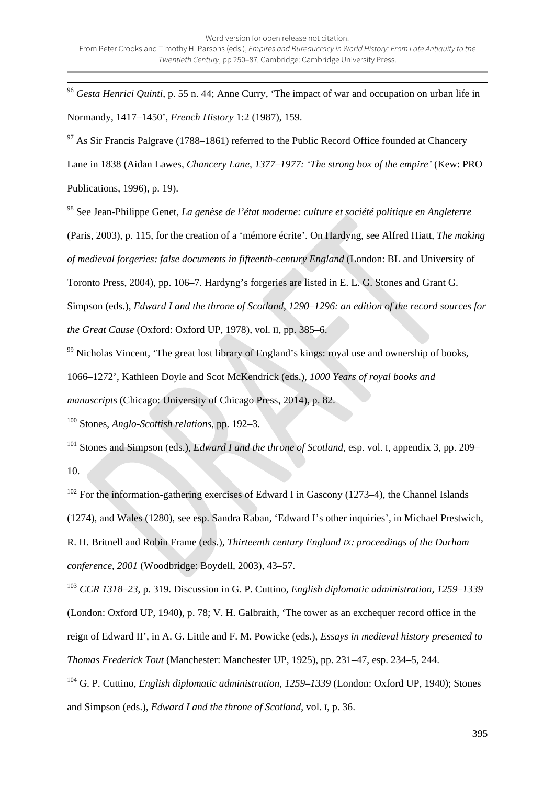$\overline{a}$ <sup>96</sup> *Gesta Henrici Quinti*, p. 55 n. 44; Anne Curry, 'The impact of war and occupation on urban life in Normandy, 1417–1450', *French History* 1:2 (1987), 159.

<span id="page-44-5"></span> $97$  As Sir Francis Palgrave (1788–1861) referred to the Public Record Office founded at Chancery

<span id="page-44-6"></span>Lane in 1838 (Aidan Lawes, *Chancery Lane, 1377–1977: 'The strong box of the empire'* (Kew: PRO

Publications, 1996), p. 19).

<span id="page-44-7"></span><sup>98</sup> See Jean-Philippe Genet, *La genèse de l'état moderne: culture et société politique en Angleterre* 

(Paris, 2003), p. 115, for the creation of a 'mémore écrite'. On Hardyng, see Alfred Hiatt, *The making* 

<span id="page-44-0"></span>*of medieval forgeries: false documents in fifteenth-century England* (London: BL and University of

<span id="page-44-8"></span>Toronto Press, 2004), pp. 106–7. Hardyng's forgeries are listed in E. L. G. Stones and Grant G.

<span id="page-44-1"></span>Simpson (eds.), *Edward I and the throne of Scotland, 1290–1296: an edition of the record sources for* 

*the Great Cause* (Oxford: Oxford UP, 1978), vol. II, pp. 385–6.

<span id="page-44-2"></span> $99$  Nicholas Vincent, 'The great lost library of England's kings: royal use and ownership of books,

1066–1272', Kathleen Doyle and Scot McKendrick (eds.), *1000 Years of royal books and* 

*manuscripts* (Chicago: University of Chicago Press, 2014), p. 82.

and Simpson (eds.), *Edward I and the throne of Scotland*, vol. I, p. 36.

<sup>100</sup> Stones, *Anglo-Scottish relations*, pp. 192–3.

<span id="page-44-3"></span><sup>101</sup> Stones and Simpson (eds.), *Edward I and the throne of Scotland*, esp. vol. I, appendix 3, pp. 209– 10.

<span id="page-44-4"></span> $102$  For the information-gathering exercises of Edward I in Gascony (1273–4), the Channel Islands (1274), and Wales (1280), see esp. Sandra Raban, 'Edward I's other inquiries', in Michael Prestwich, R. H. Britnell and Robin Frame (eds.), *Thirteenth century England IX: proceedings of the Durham conference, 2001* (Woodbridge: Boydell, 2003), 43–57.

<sup>103</sup> *CCR 1318–23*, p. 319. Discussion in G. P. Cuttino, *English diplomatic administration, 1259–1339*  (London: Oxford UP, 1940), p. 78; V. H. Galbraith, 'The tower as an exchequer record office in the reign of Edward II', in A. G. Little and F. M. Powicke (eds.), *Essays in medieval history presented to Thomas Frederick Tout* (Manchester: Manchester UP, 1925), pp. 231–47, esp. 234–5, 244. <sup>104</sup> G. P. Cuttino, *English diplomatic administration, 1259–1339* (London: Oxford UP, 1940); Stones

395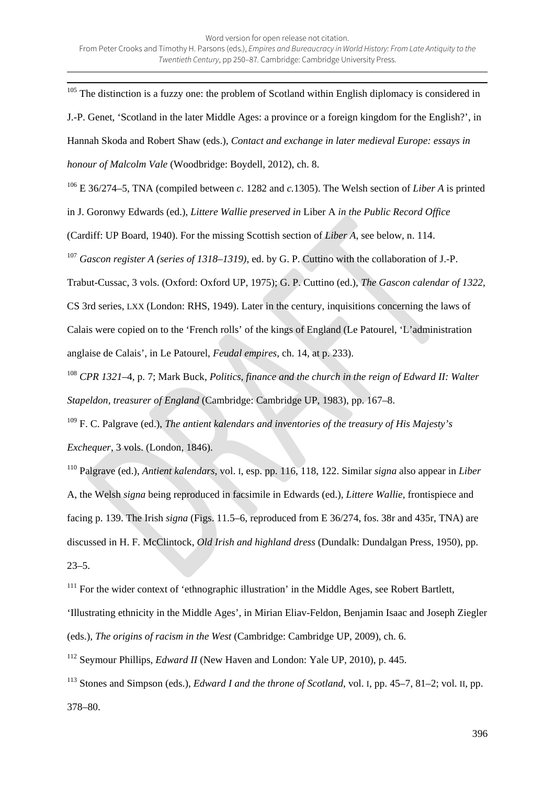<span id="page-45-4"></span> $105$  The distinction is a fuzzy one: the problem of Scotland within English diplomacy is considered in J.-P. Genet, 'Scotland in the later Middle Ages: a province or a foreign kingdom for the English?', in Hannah Skoda and Robert Shaw (eds.), *Contact and exchange in later medieval Europe: essays in honour of Malcolm Vale* (Woodbridge: Boydell, 2012), ch. 8.

<span id="page-45-5"></span><sup>106</sup> E 36/274*–*5, TNA (compiled between *c*. 1282 and *c.*1305). The Welsh section of *Liber A* is printed

<span id="page-45-6"></span>in J. Goronwy Edwards (ed.), *Littere Wallie preserved in* Liber A *in the Public Record Office*

(Cardiff: UP Board, 1940). For the missing Scottish section of *Liber A*, see below, n. 114.

 $\overline{a}$ 

<sup>107</sup> *Gascon register A (series of 1318–1319)*, ed. by G. P. Cuttino with the collaboration of J.-P.

Trabut-Cussac, 3 vols. (Oxford: Oxford UP, 1975); G. P. Cuttino (ed.), *The Gascon calendar of 1322*, CS 3rd series, LXX (London: RHS, 1949). Later in the century, inquisitions concerning the laws of Calais were copied on to the 'French rolls' of the kings of England (Le Patourel, 'L'administration anglaise de Calais', in Le Patourel, *Feudal empires*, ch. 14, at p. 233).

<span id="page-45-7"></span><span id="page-45-0"></span><sup>108</sup> *CPR 1321–*4, p. 7; Mark Buck, *Politics, finance and the church in the reign of Edward II: Walter Stapeldon, treasurer of England* (Cambridge: Cambridge UP, 1983), pp. 167–8.

<span id="page-45-1"></span><sup>109</sup> F. C. Palgrave (ed.), *The antient kalendars and inventories of the treasury of His Majesty's Exchequer*, 3 vols. (London, 1846).

<span id="page-45-2"></span><sup>110</sup> Palgrave (ed.), *Antient kalendars*, vol. I, esp. pp. 116, 118, 122. Similar *signa* also appear in *Liber*  A, the Welsh *signa* being reproduced in facsimile in Edwards (ed.), *Littere Wallie*, frontispiece and facing p. 139. The Irish *signa* (Figs. 11.5–6, reproduced from E 36/274, fos. 38r and 435r, TNA) are discussed in H. F. McClintock, *Old Irish and highland dress* (Dundalk: Dundalgan Press, 1950), pp. 23–5.

 $111$  For the wider context of 'ethnographic illustration' in the Middle Ages, see Robert Bartlett, 'Illustrating ethnicity in the Middle Ages', in Mirian Eliav-Feldon, Benjamin Isaac and Joseph Ziegler

(eds.), *The origins of racism in the West* (Cambridge: Cambridge UP, 2009), ch. 6.

<sup>112</sup> Seymour Phillips, *Edward II* (New Haven and London: Yale UP, 2010), p. 445.

<span id="page-45-3"></span><sup>113</sup> Stones and Simpson (eds.), *Edward I and the throne of Scotland*, vol. I, pp. 45–7, 81–2; vol. II, pp. 378–80.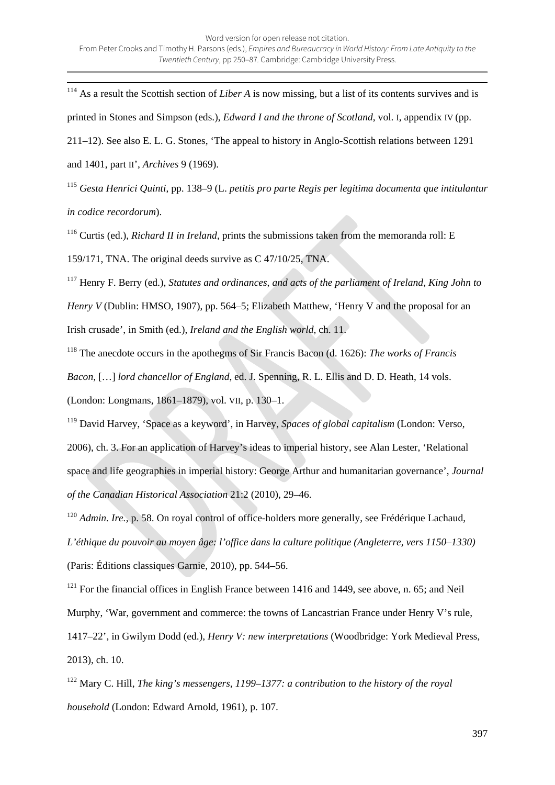<span id="page-46-4"></span><sup>114</sup> As a result the Scottish section of *Liber A* is now missing, but a list of its contents survives and is printed in Stones and Simpson (eds.), *Edward I and the throne of Scotland*, vol. I, appendix IV (pp. 211–12). See also E. L. G. Stones, 'The appeal to history in Anglo-Scottish relations between 1291 and 1401, part II', *Archives* 9 (1969).

<span id="page-46-5"></span><sup>115</sup> *Gesta Henrici Quinti*, pp. 138–9 (L. *petitis pro parte Regis per legitima documenta que intitulantur in codice recordorum*).

<sup>116</sup> Curtis (ed.), *Richard II in Ireland*, prints the submissions taken from the memoranda roll: E

<span id="page-46-6"></span>159/171, TNA. The original deeds survive as C 47/10/25, TNA.

 $\overline{a}$ 

<sup>117</sup> Henry F. Berry (ed.), *Statutes and ordinances, and acts of the parliament of Ireland, King John to* 

*Henry V* (Dublin: HMSO, 1907), pp. 564–5; Elizabeth Matthew, 'Henry V and the proposal for an Irish crusade', in Smith (ed.), *Ireland and the English world*, ch. 11.

<sup>118</sup> The anecdote occurs in the apothegms of Sir Francis Bacon (d. 1626): *The works of Francis* 

<span id="page-46-7"></span>*Bacon,* […] *lord chancellor of England*, ed. J. Spenning, R. L. Ellis and D. D. Heath, 14 vols.

(London: Longmans, 1861–1879), vol. VII, p. 130–1.

<span id="page-46-8"></span><span id="page-46-0"></span><sup>119</sup> David Harvey, 'Space as a keyword', in Harvey, *Spaces of global capitalism* (London: Verso, 2006), ch. 3. For an application of Harvey's ideas to imperial history, see Alan Lester, 'Relational space and life geographies in imperial history: George Arthur and humanitarian governance', *Journal of the Canadian Historical Association* 21:2 (2010), 29–46.

<span id="page-46-1"></span><sup>120</sup> *Admin. Ire.*, p. 58. On royal control of office-holders more generally, see Frédérique Lachaud, *L'éthique du pouvoir au moyen âge: l'office dans la culture politique (Angleterre, vers 1150–1330)*  (Paris: Éditions classiques Garnie, 2010), pp. 544–56.

<span id="page-46-2"></span> $121$  For the financial offices in English France between 1416 and 1449, see above, n. 65; and Neil Murphy, 'War, government and commerce: the towns of Lancastrian France under Henry V's rule, 1417–22', in Gwilym Dodd (ed.), *Henry V: new interpretations* (Woodbridge: York Medieval Press, 2013), ch. 10.

<span id="page-46-3"></span><sup>122</sup> Mary C. Hill, *The king's messengers, 1199–1377: a contribution to the history of the royal household* (London: Edward Arnold, 1961), p. 107.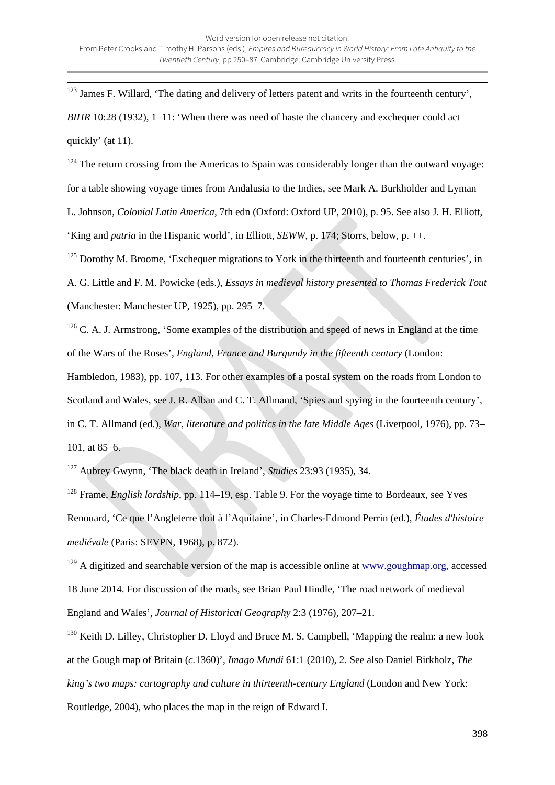<span id="page-47-4"></span> $123$  James F. Willard, 'The dating and delivery of letters patent and writs in the fourteenth century', *BIHR* 10:28 (1932), 1–11: 'When there was need of haste the chancery and exchequer could act quickly' (at 11).

 $124$  The return crossing from the Americas to Spain was considerably longer than the outward voyage: for a table showing voyage times from Andalusia to the Indies, see Mark A. Burkholder and Lyman L. Johnson, *Colonial Latin America*, 7th edn (Oxford: Oxford UP, 2010), p. 95. See also J. H. Elliott, 'King and *patria* in the Hispanic world', in Elliott, *SEWW*, p. 174; Storrs, below, p. ++.

 $125$  Dorothy M. Broome, 'Exchequer migrations to York in the thirteenth and fourteenth centuries', in A. G. Little and F. M. Powicke (eds.), *Essays in medieval history presented to Thomas Frederick Tout*

(Manchester: Manchester UP, 1925), pp. 295–7.

 $\overline{a}$ 

 $126$  C. A. J. Armstrong, 'Some examples of the distribution and speed of news in England at the time of the Wars of the Roses', *England, France and Burgundy in the fifteenth century* (London:

Hambledon, 1983), pp. 107, 113. For other examples of a postal system on the roads from London to Scotland and Wales, see J. R. Alban and C. T. Allmand, 'Spies and spying in the fourteenth century', in C. T. Allmand (ed.), *War, literature and politics in the late Middle Ages* (Liverpool, 1976), pp. 73– 101, at 85–6.

<span id="page-47-0"></span><sup>127</sup> Aubrey Gwynn, 'The black death in Ireland', *Studies* 23:93 (1935), 34.

<sup>128</sup> Frame, *English lordship*, pp. 114–19, esp. Table 9. For the voyage time to Bordeaux, see Yves Renouard, 'Ce que l'Angleterre doit à l'Aquitaine', in Charles-Edmond Perrin (ed.), *Études d'histoire mediévale* (Paris: SEVPN, 1968), p. 872).

<span id="page-47-1"></span> $129$  A digitized and searchable version of the map is accessible online at [www.goughmap.org,](http://www.goughmap.org/) accessed 18 June 2014. For discussion of the roads, see Brian Paul Hindle, 'The road network of medieval England and Wales', *Journal of Historical Geography* 2:3 (1976), 207–21.

<span id="page-47-3"></span><span id="page-47-2"></span> $130$  Keith D. Lilley, Christopher D. Lloyd and Bruce M. S. Campbell, 'Mapping the realm: a new look at the Gough map of Britain (*c.*1360)', *Imago Mundi* 61:1 (2010), 2. See also Daniel Birkholz, *The king's two maps: cartography and culture in thirteenth-century England* (London and New York: Routledge, 2004), who places the map in the reign of Edward I.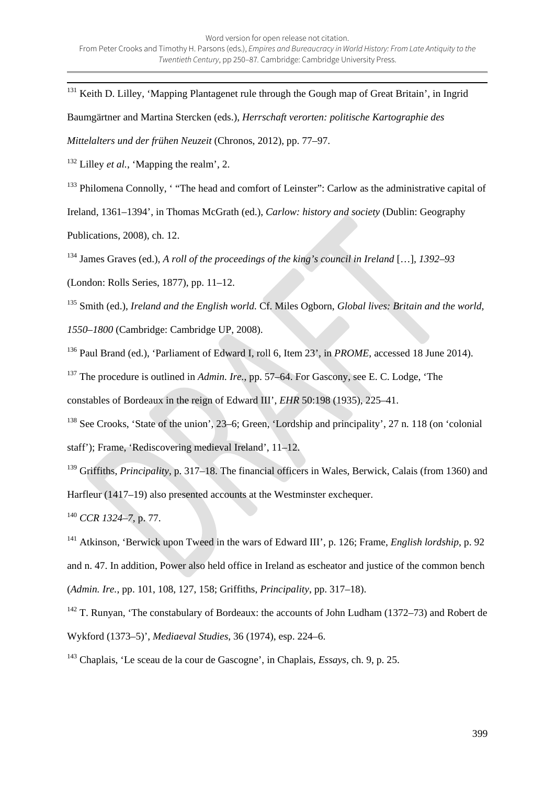$\overline{a}$ <sup>131</sup> Keith D. Lilley, 'Mapping Plantagenet rule through the Gough map of Great Britain', in Ingrid

Baumgärtner and Martina Stercken (eds.), *Herrschaft verorten: politische Kartographie des* 

*Mittelalters und der frühen Neuzeit* (Chronos, 2012), pp. 77–97.

 $132$  Lilley *et al.*, 'Mapping the realm', 2.

<span id="page-48-0"></span><sup>133</sup> Philomena Connolly, "The head and comfort of Leinster": Carlow as the administrative capital of

Ireland, 1361–1394', in Thomas McGrath (ed.), *Carlow: history and society* (Dublin: Geography

<span id="page-48-1"></span>Publications, 2008), ch. 12.

<sup>134</sup> James Graves (ed.), *A roll of the proceedings of the king's council in Ireland* […]*, 1392–93*

<span id="page-48-2"></span>(London: Rolls Series, 1877), pp. 11–12.

<sup>135</sup> Smith (ed.), *Ireland and the English world.* Cf. Miles Ogborn, *Global lives: Britain and the world, 1550–1800* (Cambridge: Cambridge UP, 2008).

<span id="page-48-3"></span><sup>136</sup> Paul Brand (ed.), 'Parliament of Edward I, roll 6, Item 23', in *PROME*, accessed 18 June 2014).

<sup>137</sup> The procedure is outlined in *Admin. Ire.*, pp. 57–64. For Gascony, see E. C. Lodge, 'The

constables of Bordeaux in the reign of Edward III', *EHR* 50:198 (1935), 225–41.

<span id="page-48-4"></span><sup>138</sup> See Crooks, 'State of the union', 23–6; Green, 'Lordship and principality', 27 n. 118 (on 'colonial staff'); Frame, 'Rediscovering medieval Ireland', 11–12.

<sup>139</sup> Griffiths, *Principality*, p. 317–18. The financial officers in Wales, Berwick, Calais (from 1360) and Harfleur (1417–19) also presented accounts at the Westminster exchequer.

<span id="page-48-5"></span><sup>140</sup> *CCR 1324–7*, p. 77.

<sup>141</sup> Atkinson, 'Berwick upon Tweed in the wars of Edward III', p. 126; Frame, *English lordship*, p. 92 and n. 47. In addition, Power also held office in Ireland as escheator and justice of the common bench (*Admin. Ire.*, pp. 101, 108, 127, 158; Griffiths, *Principality*, pp. 317–18).

 $142$  T. Runyan, 'The constabulary of Bordeaux: the accounts of John Ludham (1372–73) and Robert de Wykford (1373–5)', *Mediaeval Studies*, 36 (1974), esp. 224–6.

<sup>143</sup> Chaplais, 'Le sceau de la cour de Gascogne', in Chaplais, *Essays*, ch. 9, p. 25.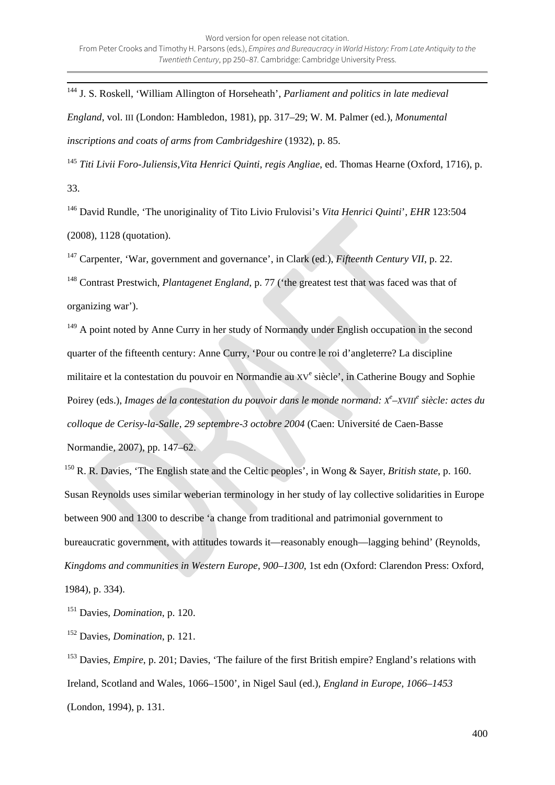<span id="page-49-2"></span><sup>144</sup> J. S. Roskell, 'William Allington of Horseheath', *Parliament and politics in late medieval England*, vol. III (London: Hambledon, 1981), pp. 317–29; W. M. Palmer (ed.), *Monumental inscriptions and coats of arms from Cambridgeshire* (1932), p. 85.

<span id="page-49-3"></span><sup>145</sup> *Titi Livii Foro-Juliensis,Vita Henrici Quinti, regis Angliae*, ed. Thomas Hearne (Oxford, 1716), p. 33.

<sup>146</sup> David Rundle, 'The unoriginality of Tito Livio Frulovisi's *Vita Henrici Quinti*', *EHR* 123:504 (2008), 1128 (quotation).

<span id="page-49-4"></span><sup>147</sup> Carpenter, 'War, government and governance', in Clark (ed.), *Fifteenth Century VII*, p. 22. <sup>148</sup> Contrast Prestwich, *Plantagenet England*, p. 77 ('the greatest test that was faced was that of

organizing war').

 $\overline{a}$ 

<span id="page-49-5"></span> $149$  A point noted by Anne Curry in her study of Normandy under English occupation in the second quarter of the fifteenth century: Anne Curry, 'Pour ou contre le roi d'angleterre? La discipline militaire et la contestation du pouvoir en Normandie au XVe siècle', in Catherine Bougy and Sophie Poirey (eds.), Images de la contestation du pouvoir dans le monde normand:  $X^e$ -XVIII<sup>e</sup> siècle: actes du *colloque de Cerisy-la-Salle, 29 septembre-3 octobre 2004* (Caen: Université de Caen-Basse Normandie, 2007), pp. 147–62.

<span id="page-49-6"></span><sup>150</sup> R. R. Davies, 'The English state and the Celtic peoples', in Wong & Sayer, *British state*, p. 160. Susan Reynolds uses similar weberian terminology in her study of lay collective solidarities in Europe between 900 and 1300 to describe 'a change from traditional and patrimonial government to bureaucratic government, with attitudes towards it—reasonably enough—lagging behind' (Reynolds, *Kingdoms and communities in Western Europe, 900–1300*, 1st edn (Oxford: Clarendon Press: Oxford, 1984), p. 334).

<span id="page-49-0"></span><sup>151</sup> Davies, *Domination*, p. 120.

<sup>152</sup> Davies, *Domination*, p. 121.

<span id="page-49-1"></span><sup>153</sup> Davies, *Empire*, p. 201; Davies, 'The failure of the first British empire? England's relations with Ireland, Scotland and Wales, 1066–1500', in Nigel Saul (ed.), *England in Europe, 1066–1453* (London, 1994), p. 131.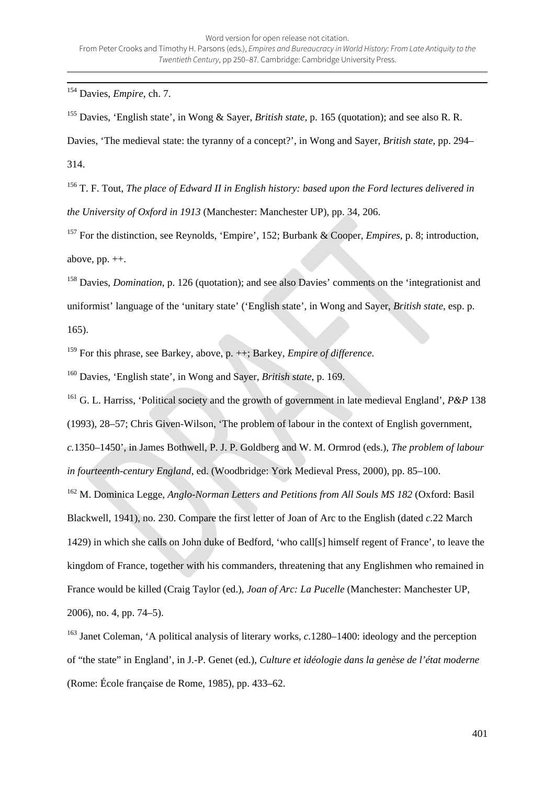<span id="page-50-3"></span><sup>154</sup> Davies, *Empire*, ch. 7.

 $\overline{a}$ 

<sup>155</sup> Davies, 'English state', in Wong & Sayer, *British state*, p. 165 (quotation); and see also R. R. Davies, 'The medieval state: the tyranny of a concept?', in Wong and Sayer, *British state*, pp. 294– 314.

<span id="page-50-5"></span><span id="page-50-4"></span><sup>156</sup> T. F. Tout, *The place of Edward II in English history: based upon the Ford lectures delivered in the University of Oxford in 1913* (Manchester: Manchester UP), pp. 34, 206.

<sup>157</sup> For the distinction, see Reynolds, 'Empire', 152; Burbank & Cooper, *Empires*, p. 8; introduction, above, pp. ++.

<sup>158</sup> Davies, *Domination*, p. 126 (quotation); and see also Davies' comments on the 'integrationist and uniformist' language of the 'unitary state' ('English state', in Wong and Sayer, *British state*, esp. p. 165).

<sup>159</sup> For this phrase, see Barkey, above, p. ++; Barkey, *Empire of difference*.

<sup>160</sup> Davies, 'English state', in Wong and Sayer, *British state*, p. 169.

<sup>161</sup> G. L. Harriss, 'Political society and the growth of government in late medieval England', *P&P* 138

(1993), 28–57; Chris Given-Wilson, 'The problem of labour in the context of English government,

*c.*1350–1450', in James Bothwell, P. J. P. Goldberg and W. M. Ormrod (eds.), *The problem of labour in fourteenth-century England*, ed. (Woodbridge: York Medieval Press, 2000), pp. 85–100.

<span id="page-50-0"></span><sup>162</sup> M. Dominica Legge, *Anglo-Norman Letters and Petitions from All Souls MS 182* (Oxford: Basil Blackwell, 1941), no. 230. Compare the first letter of Joan of Arc to the English (dated *c.*22 March 1429) in which she calls on John duke of Bedford, 'who call[s] himself regent of France', to leave the kingdom of France, together with his commanders, threatening that any Englishmen who remained in France would be killed (Craig Taylor (ed.), *Joan of Arc: La Pucelle* (Manchester: Manchester UP, 2006), no. 4, pp. 74–5).

<span id="page-50-2"></span><span id="page-50-1"></span><sup>163</sup> Janet Coleman, 'A political analysis of literary works, *c.*1280–1400: ideology and the perception of "the state" in England', in J.-P. Genet (ed.), *Culture et idéologie dans la genèse de l'état moderne* (Rome: École française de Rome, 1985), pp. 433–62.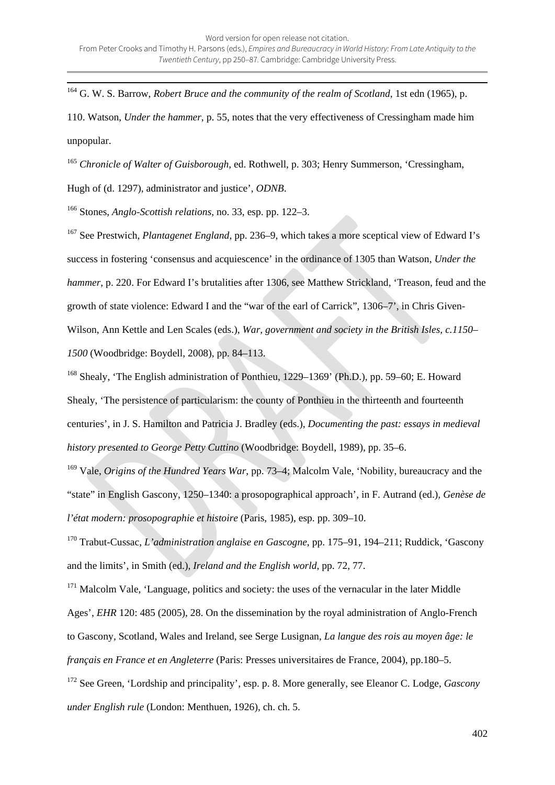<sup>164</sup> G. W. S. Barrow, *Robert Bruce and the community of the realm of Scotland*, 1st edn (1965), p.

110. Watson, *Under the hammer*, p. 55, notes that the very effectiveness of Cressingham made him unpopular.

<sup>165</sup> *Chronicle of Walter of Guisborough*, ed. Rothwell, p. 303; Henry Summerson, 'Cressingham,

Hugh of (d. 1297), administrator and justice', *ODNB*.

 $\overline{a}$ 

<sup>166</sup> Stones, *Anglo-Scottish relations*, no. 33, esp. pp. 122–3.

<span id="page-51-0"></span><sup>167</sup> See Prestwich, *Plantagenet England*, pp. 236–9, which takes a more sceptical view of Edward I's success in fostering 'consensus and acquiescence' in the ordinance of 1305 than Watson, *Under the hammer*, p. 220. For Edward I's brutalities after 1306, see Matthew Strickland, 'Treason, feud and the growth of state violence: Edward I and the "war of the earl of Carrick", 1306–7', in Chris Given-Wilson, Ann Kettle and Len Scales (eds.), *War, government and society in the British Isles, c.1150– 1500* (Woodbridge: Boydell, 2008), pp. 84–113.

<span id="page-51-3"></span><span id="page-51-2"></span><span id="page-51-1"></span><sup>168</sup> Shealy, 'The English administration of Ponthieu, 1229–1369' (Ph.D.), pp. 59–60; E. Howard Shealy, 'The persistence of particularism: the county of Ponthieu in the thirteenth and fourteenth centuries', in J. S. Hamilton and Patricia J. Bradley (eds.), *Documenting the past: essays in medieval history presented to George Petty Cuttino* (Woodbridge: Boydell, 1989), pp. 35–6.

<span id="page-51-5"></span><span id="page-51-4"></span><sup>169</sup> Vale, *Origins of the Hundred Years War*, pp. 73–4; Malcolm Vale, 'Nobility, bureaucracy and the "state" in English Gascony, 1250–1340: a prosopographical approach', in F. Autrand (ed.), *Genèse de l'état modern: prosopographie et histoire* (Paris, 1985), esp. pp. 309–10.

<span id="page-51-6"></span><sup>170</sup> Trabut-Cussac, *L'administration anglaise en Gascogne*, pp. 175–91, 194–211; Ruddick, 'Gascony and the limits', in Smith (ed.), *Ireland and the English world*, pp. 72, 77.

<sup>171</sup> Malcolm Vale, 'Language, politics and society: the uses of the vernacular in the later Middle Ages', *EHR* 120: 485 (2005), 28. On the dissemination by the royal administration of Anglo-French to Gascony, Scotland, Wales and Ireland, see Serge Lusignan, *La langue des rois au moyen âge: le français en France et en Angleterre* (Paris: Presses universitaires de France, 2004), pp.180–5.

<sup>172</sup> See Green, 'Lordship and principality', esp. p. 8. More generally, see Eleanor C. Lodge, *Gascony under English rule* (London: Menthuen, 1926), ch. ch. 5.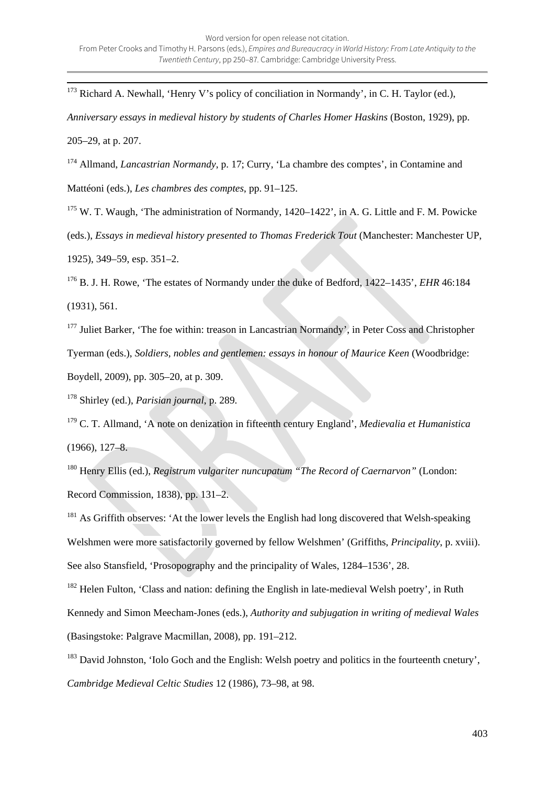<span id="page-52-3"></span> $173$  Richard A. Newhall, 'Henry V's policy of conciliation in Normandy', in C. H. Taylor (ed.), *Anniversary essays in medieval history by students of Charles Homer Haskins* (Boston, 1929), pp. 205–29, at p. 207.

<span id="page-52-4"></span><sup>174</sup> Allmand, *Lancastrian Normandy*, p. 17; Curry, 'La chambre des comptes', in Contamine and Mattéoni (eds.), *Les chambres des comptes*, pp. 91–125.

<span id="page-52-5"></span> $175$  W. T. Waugh, 'The administration of Normandy,  $1420-1422$ ', in A. G. Little and F. M. Powicke (eds.), *Essays in medieval history presented to Thomas Frederick Tout* (Manchester: Manchester UP, 1925), 349–59, esp. 351–2.

<sup>176</sup> B. J. H. Rowe, 'The estates of Normandy under the duke of Bedford, 1422–1435', *EHR* 46:184 (1931), 561.

 $177$  Juliet Barker, 'The foe within: treason in Lancastrian Normandy', in Peter Coss and Christopher

Tyerman (eds.), *Soldiers, nobles and gentlemen: essays in honour of Maurice Keen* (Woodbridge:

Boydell, 2009), pp. 305–20, at p. 309.

 $\overline{a}$ 

<sup>178</sup> Shirley (ed.), *Parisian journal*, p. 289.

<sup>179</sup> C. T. Allmand, 'A note on denization in fifteenth century England', *Medievalia et Humanistica*  (1966), 127–8.

<sup>180</sup> Henry Ellis (ed.), *Registrum vulgariter nuncupatum "The Record of Caernarvon"* (London: Record Commission, 1838), pp. 131–2.

<span id="page-52-0"></span><sup>181</sup> As Griffith observes: 'At the lower levels the English had long discovered that Welsh-speaking Welshmen were more satisfactorily governed by fellow Welshmen' (Griffiths, *Principality*, p. xviii). See also Stansfield, 'Prosopography and the principality of Wales, 1284–1536', 28.

<span id="page-52-1"></span><sup>182</sup> Helen Fulton, 'Class and nation: defining the English in late-medieval Welsh poetry', in Ruth Kennedy and Simon Meecham-Jones (eds.), *Authority and subjugation in writing of medieval Wales*  (Basingstoke: Palgrave Macmillan, 2008), pp. 191–212.

<span id="page-52-2"></span><sup>183</sup> David Johnston, 'Iolo Goch and the English: Welsh poetry and politics in the fourteenth cnetury', *Cambridge Medieval Celtic Studies* 12 (1986), 73–98, at 98.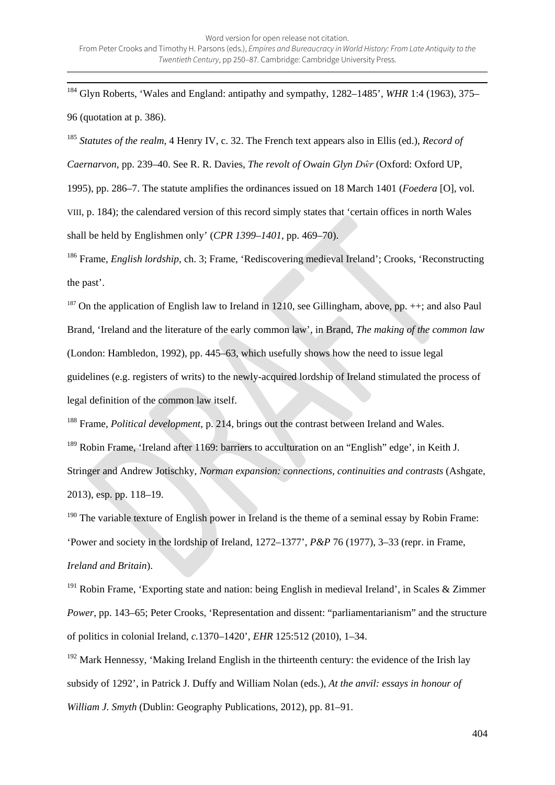<span id="page-53-7"></span><sup>184</sup> Glyn Roberts, 'Wales and England: antipathy and sympathy, 1282–1485', *WHR* 1:4 (1963), 375– 96 (quotation at p. 386).

 $\overline{a}$ 

<sup>185</sup> *Statutes of the realm*, 4 Henry IV, c. 32. The French text appears also in Ellis (ed.), *Record of Caernarvon*, pp. 239–40. See R. R. Davies, *The revolt of Owain Glyn Dŵr* (Oxford: Oxford UP, 1995), pp. 286–7. The statute amplifies the ordinances issued on 18 March 1401 (*Foedera* [O], vol. VIII, p. 184); the calendared version of this record simply states that 'certain offices in north Wales shall be held by Englishmen only' (*CPR 1399–1401*, pp. 469–70).

<span id="page-53-0"></span><sup>186</sup> Frame, *English lordship*, ch. 3; Frame, 'Rediscovering medieval Ireland'; Crooks, 'Reconstructing the past'.

<span id="page-53-2"></span><span id="page-53-1"></span><sup>187</sup> On the application of English law to Ireland in 1210, see Gillingham, above, pp. ++; and also Paul Brand, 'Ireland and the literature of the early common law', in Brand, *The making of the common law*  (London: Hambledon, 1992), pp. 445–63, which usefully shows how the need to issue legal guidelines (e.g. registers of writs) to the newly-acquired lordship of Ireland stimulated the process of legal definition of the common law itself.

<sup>188</sup> Frame, *Political development*, p. 214, brings out the contrast between Ireland and Wales.

<span id="page-53-3"></span><sup>189</sup> Robin Frame, 'Ireland after 1169: barriers to acculturation on an "English" edge', in Keith J. Stringer and Andrew Jotischky, *Norman expansion: connections, continuities and contrasts* (Ashgate, 2013), esp. pp. 118–19.

 $190$  The variable texture of English power in Ireland is the theme of a seminal essay by Robin Frame: 'Power and society in the lordship of Ireland, 1272–1377', *P&P* 76 (1977), 3–33 (repr. in Frame, *Ireland and Britain*).

<span id="page-53-4"></span><sup>191</sup> Robin Frame, 'Exporting state and nation: being English in medieval Ireland', in Scales & Zimmer *Power*, pp. 143–65; Peter Crooks, 'Representation and dissent: "parliamentarianism" and the structure of politics in colonial Ireland, *c.*1370–1420', *EHR* 125:512 (2010), 1–34.

<span id="page-53-6"></span><span id="page-53-5"></span> $192$  Mark Hennessy, 'Making Ireland English in the thirteenth century: the evidence of the Irish lay subsidy of 1292', in Patrick J. Duffy and William Nolan (eds.), *At the anvil: essays in honour of William J. Smyth* (Dublin: Geography Publications, 2012), pp. 81–91.